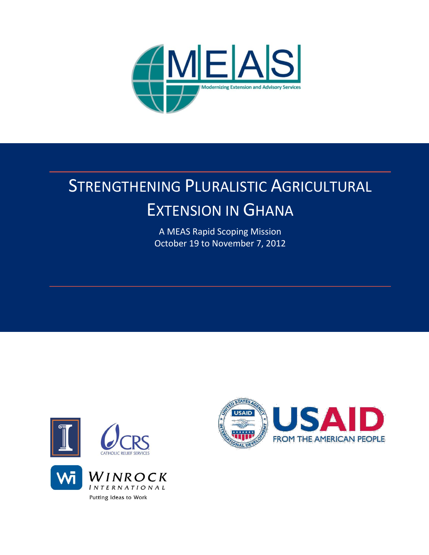

# STRENGTHENING PLURALISTIC AGRICULTURAL EXTENSION IN GHANA

A MEAS Rapid Scoping Mission October 19 to November 7, 2012





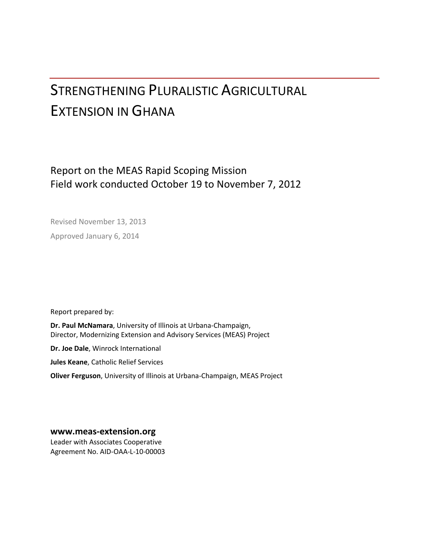# STRENGTHENING PLURALISTIC AGRICULTURAL EXTENSION IN GHANA

## Report on the MEAS Rapid Scoping Mission Field work conducted October 19 to November 7, 2012

Revised November 13, 2013 Approved January 6, 2014

Report prepared by:

**Dr. Paul McNamara**, University of Illinois at Urbana-Champaign, Director, Modernizing Extension and Advisory Services (MEAS) Project

**Dr. Joe Dale**, Winrock International

**Jules Keane**, Catholic Relief Services

**Oliver Ferguson**, University of Illinois at Urbana-Champaign, MEAS Project

**[www.meas-extension.org](http://www.meas-extension.org/)**

Leader with Associates Cooperative Agreement No. AID-OAA-L-10-00003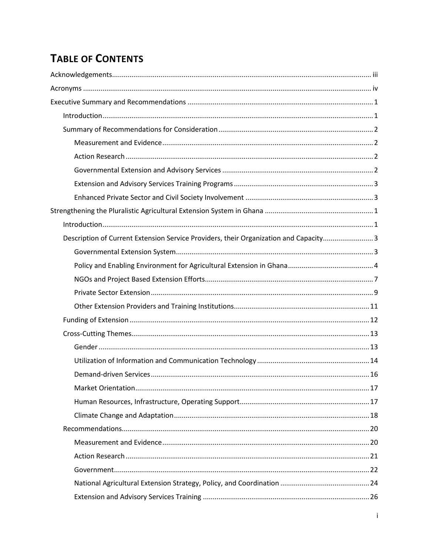## **TABLE OF CONTENTS**

| Description of Current Extension Service Providers, their Organization and Capacity3 |  |
|--------------------------------------------------------------------------------------|--|
|                                                                                      |  |
|                                                                                      |  |
|                                                                                      |  |
|                                                                                      |  |
|                                                                                      |  |
|                                                                                      |  |
|                                                                                      |  |
|                                                                                      |  |
|                                                                                      |  |
|                                                                                      |  |
|                                                                                      |  |
|                                                                                      |  |
|                                                                                      |  |
|                                                                                      |  |
|                                                                                      |  |
|                                                                                      |  |
|                                                                                      |  |
|                                                                                      |  |
|                                                                                      |  |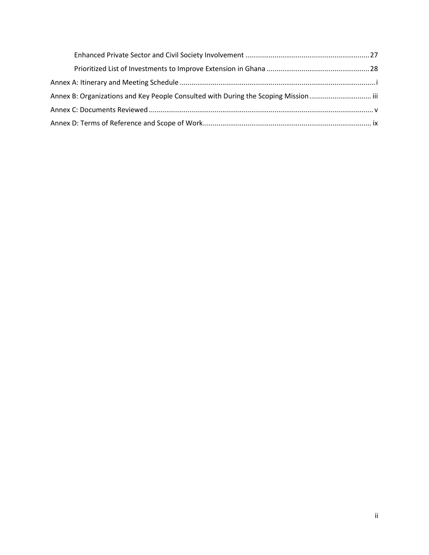| Annex B: Organizations and Key People Consulted with During the Scoping Mission |  |
|---------------------------------------------------------------------------------|--|
|                                                                                 |  |
|                                                                                 |  |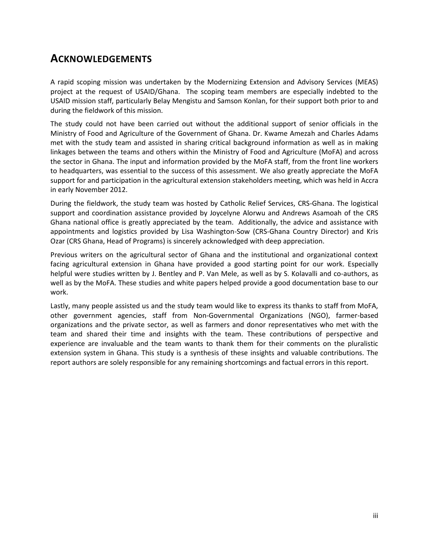## <span id="page-4-0"></span>**ACKNOWLEDGEMENTS**

A rapid scoping mission was undertaken by the Modernizing Extension and Advisory Services (MEAS) project at the request of USAID/Ghana. The scoping team members are especially indebted to the USAID mission staff, particularly Belay Mengistu and Samson Konlan, for their support both prior to and during the fieldwork of this mission.

The study could not have been carried out without the additional support of senior officials in the Ministry of Food and Agriculture of the Government of Ghana. Dr. Kwame Amezah and Charles Adams met with the study team and assisted in sharing critical background information as well as in making linkages between the teams and others within the Ministry of Food and Agriculture (MoFA) and across the sector in Ghana. The input and information provided by the MoFA staff, from the front line workers to headquarters, was essential to the success of this assessment. We also greatly appreciate the MoFA support for and participation in the agricultural extension stakeholders meeting, which was held in Accra in early November 2012.

During the fieldwork, the study team was hosted by Catholic Relief Services, CRS-Ghana. The logistical support and coordination assistance provided by Joycelyne Alorwu and Andrews Asamoah of the CRS Ghana national office is greatly appreciated by the team. Additionally, the advice and assistance with appointments and logistics provided by Lisa Washington-Sow (CRS-Ghana Country Director) and Kris Ozar (CRS Ghana, Head of Programs) is sincerely acknowledged with deep appreciation.

Previous writers on the agricultural sector of Ghana and the institutional and organizational context facing agricultural extension in Ghana have provided a good starting point for our work. Especially helpful were studies written by J. Bentley and P. Van Mele, as well as by S. Kolavalli and co-authors, as well as by the MoFA. These studies and white papers helped provide a good documentation base to our work.

Lastly, many people assisted us and the study team would like to express its thanks to staff from MoFA, other government agencies, staff from Non-Governmental Organizations (NGO), farmer-based organizations and the private sector, as well as farmers and donor representatives who met with the team and shared their time and insights with the team. These contributions of perspective and experience are invaluable and the team wants to thank them for their comments on the pluralistic extension system in Ghana. This study is a synthesis of these insights and valuable contributions. The report authors are solely responsible for any remaining shortcomings and factual errors in this report.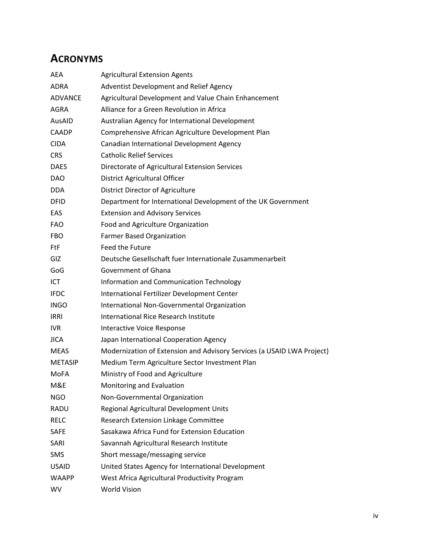## <span id="page-5-0"></span>**ACRONYMS**

| AEA            | <b>Agricultural Extension Agents</b>                                   |
|----------------|------------------------------------------------------------------------|
| ADRA           | Adventist Development and Relief Agency                                |
| <b>ADVANCE</b> | Agricultural Development and Value Chain Enhancement                   |
| AGRA           | Alliance for a Green Revolution in Africa                              |
| AusAID         | Australian Agency for International Development                        |
| <b>CAADP</b>   | Comprehensive African Agriculture Development Plan                     |
| <b>CIDA</b>    | Canadian International Development Agency                              |
| <b>CRS</b>     | <b>Catholic Relief Services</b>                                        |
| <b>DAES</b>    | Directorate of Agricultural Extension Services                         |
| DAO            | District Agricultural Officer                                          |
| <b>DDA</b>     | District Director of Agriculture                                       |
| <b>DFID</b>    | Department for International Development of the UK Government          |
| EAS            | <b>Extension and Advisory Services</b>                                 |
| <b>FAO</b>     | Food and Agriculture Organization                                      |
| <b>FBO</b>     | <b>Farmer Based Organization</b>                                       |
| <b>FtF</b>     | Feed the Future                                                        |
| GIZ            | Deutsche Gesellschaft fuer Internationale Zusammenarbeit               |
| GoG            | <b>Government of Ghana</b>                                             |
| ICT            | Information and Communication Technology                               |
| <b>IFDC</b>    | International Fertilizer Development Center                            |
| <b>INGO</b>    | International Non-Governmental Organization                            |
| <b>IRRI</b>    | <b>International Rice Research Institute</b>                           |
| <b>IVR</b>     | Interactive Voice Response                                             |
| <b>JICA</b>    | Japan International Cooperation Agency                                 |
| <b>MEAS</b>    | Modernization of Extension and Advisory Services (a USAID LWA Project) |
| <b>METASIP</b> | Medium Term Agriculture Sector Investment Plan                         |
| <b>MoFA</b>    | Ministry of Food and Agriculture                                       |
| M&E            | Monitoring and Evaluation                                              |
| <b>NGO</b>     | Non-Governmental Organization                                          |
| RADU           | Regional Agricultural Development Units                                |
| <b>RELC</b>    | Research Extension Linkage Committee                                   |
| <b>SAFE</b>    | Sasakawa Africa Fund for Extension Education                           |
| SARI           | Savannah Agricultural Research Institute                               |
| SMS            | Short message/messaging service                                        |
| <b>USAID</b>   | United States Agency for International Development                     |
| <b>WAAPP</b>   | West Africa Agricultural Productivity Program                          |
| WV             | <b>World Vision</b>                                                    |
|                |                                                                        |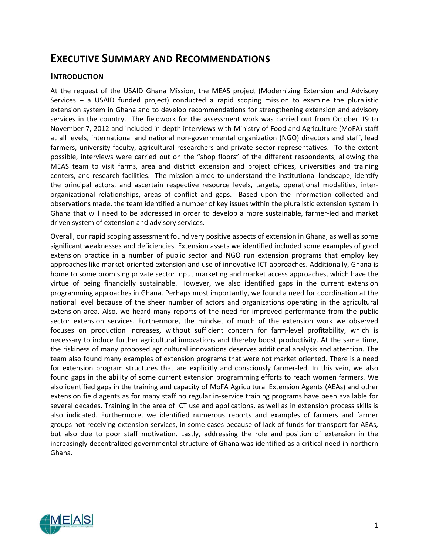## <span id="page-6-0"></span>**EXECUTIVE SUMMARY AND RECOMMENDATIONS**

## <span id="page-6-1"></span>**INTRODUCTION**

At the request of the USAID Ghana Mission, the MEAS project (Modernizing Extension and Advisory Services – a USAID funded project) conducted a rapid scoping mission to examine the pluralistic extension system in Ghana and to develop recommendations for strengthening extension and advisory services in the country. The fieldwork for the assessment work was carried out from October 19 to November 7, 2012 and included in-depth interviews with Ministry of Food and Agriculture (MoFA) staff at all levels, international and national non-governmental organization (NGO) directors and staff, lead farmers, university faculty, agricultural researchers and private sector representatives. To the extent possible, interviews were carried out on the "shop floors" of the different respondents, allowing the MEAS team to visit farms, area and district extension and project offices, universities and training centers, and research facilities. The mission aimed to understand the institutional landscape, identify the principal actors, and ascertain respective resource levels, targets, operational modalities, interorganizational relationships, areas of conflict and gaps. Based upon the information collected and observations made, the team identified a number of key issues within the pluralistic extension system in Ghana that will need to be addressed in order to develop a more sustainable, farmer-led and market driven system of extension and advisory services.

Overall, our rapid scoping assessment found very positive aspects of extension in Ghana, as well as some significant weaknesses and deficiencies. Extension assets we identified included some examples of good extension practice in a number of public sector and NGO run extension programs that employ key approaches like market-oriented extension and use of innovative ICT approaches. Additionally, Ghana is home to some promising private sector input marketing and market access approaches, which have the virtue of being financially sustainable. However, we also identified gaps in the current extension programming approaches in Ghana. Perhaps most importantly, we found a need for coordination at the national level because of the sheer number of actors and organizations operating in the agricultural extension area. Also, we heard many reports of the need for improved performance from the public sector extension services. Furthermore, the mindset of much of the extension work we observed focuses on production increases, without sufficient concern for farm-level profitability, which is necessary to induce further agricultural innovations and thereby boost productivity. At the same time, the riskiness of many proposed agricultural innovations deserves additional analysis and attention. The team also found many examples of extension programs that were not market oriented. There is a need for extension program structures that are explicitly and consciously farmer-led. In this vein, we also found gaps in the ability of some current extension programming efforts to reach women farmers. We also identified gaps in the training and capacity of MoFA Agricultural Extension Agents (AEAs) and other extension field agents as for many staff no regular in-service training programs have been available for several decades. Training in the area of ICT use and applications, as well as in extension process skills is also indicated. Furthermore, we identified numerous reports and examples of farmers and farmer groups not receiving extension services, in some cases because of lack of funds for transport for AEAs, but also due to poor staff motivation. Lastly, addressing the role and position of extension in the increasingly decentralized governmental structure of Ghana was identified as a critical need in northern Ghana.

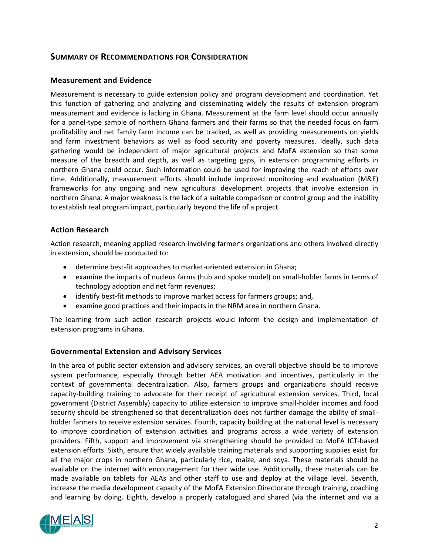## <span id="page-7-0"></span>**SUMMARY OF RECOMMENDATIONS FOR CONSIDERATION**

## <span id="page-7-1"></span>**Measurement and Evidence**

Measurement is necessary to guide extension policy and program development and coordination. Yet this function of gathering and analyzing and disseminating widely the results of extension program measurement and evidence is lacking in Ghana. Measurement at the farm level should occur annually for a panel-type sample of northern Ghana farmers and their farms so that the needed focus on farm profitability and net family farm income can be tracked, as well as providing measurements on yields and farm investment behaviors as well as food security and poverty measures. Ideally, such data gathering would be independent of major agricultural projects and MoFA extension so that some measure of the breadth and depth, as well as targeting gaps, in extension programming efforts in northern Ghana could occur. Such information could be used for improving the reach of efforts over time. Additionally, measurement efforts should include improved monitoring and evaluation (M&E) frameworks for any ongoing and new agricultural development projects that involve extension in northern Ghana. A major weakness is the lack of a suitable comparison or control group and the inability to establish real program impact, particularly beyond the life of a project.

## <span id="page-7-2"></span>**Action Research**

Action research, meaning applied research involving farmer's organizations and others involved directly in extension, should be conducted to:

- determine best-fit approaches to market-oriented extension in Ghana;
- examine the impacts of nucleus farms (hub and spoke model) on small-holder farms in terms of technology adoption and net farm revenues;
- identify best-fit methods to improve market access for farmers groups; and,
- examine good practices and their impacts in the NRM area in northern Ghana.

The learning from such action research projects would inform the design and implementation of extension programs in Ghana.

## <span id="page-7-3"></span>**Governmental Extension and Advisory Services**

In the area of public sector extension and advisory services, an overall objective should be to improve system performance, especially through better AEA motivation and incentives, particularly in the context of governmental decentralization. Also, farmers groups and organizations should receive capacity-building training to advocate for their receipt of agricultural extension services. Third, local government (District Assembly) capacity to utilize extension to improve small-holder incomes and food security should be strengthened so that decentralization does not further damage the ability of smallholder farmers to receive extension services. Fourth, capacity building at the national level is necessary to improve coordination of extension activities and programs across a wide variety of extension providers. Fifth, support and improvement via strengthening should be provided to MoFA ICT-based extension efforts. Sixth, ensure that widely available training materials and supporting supplies exist for all the major crops in northern Ghana, particularly rice, maize, and soya. These materials should be available on the internet with encouragement for their wide use. Additionally, these materials can be made available on tablets for AEAs and other staff to use and deploy at the village level. Seventh, increase the media development capacity of the MoFA Extension Directorate through training, coaching and learning by doing. Eighth, develop a properly catalogued and shared (via the internet and via a

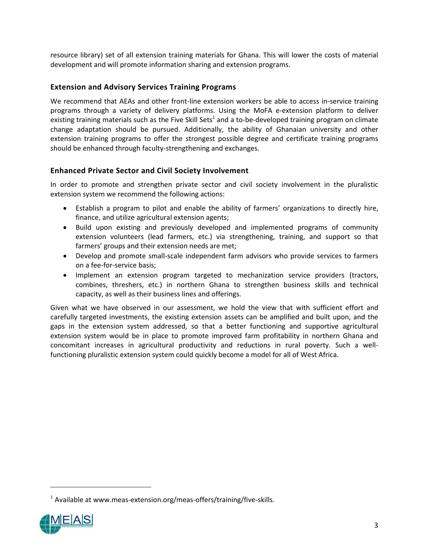resource library) set of all extension training materials for Ghana. This will lower the costs of material development and will promote information sharing and extension programs.

## <span id="page-8-0"></span>**Extension and Advisory Services Training Programs**

We recommend that AEAs and other front-line extension workers be able to access in-service training programs through a variety of delivery platforms. Using the MoFA e-extension platform to deliver existing training materials such as the Five Skill Sets<sup>1</sup> and a to-be-developed training program on climate change adaptation should be pursued. Additionally, the ability of Ghanaian university and other extension training programs to offer the strongest possible degree and certificate training programs should be enhanced through faculty-strengthening and exchanges.

## <span id="page-8-1"></span>**Enhanced Private Sector and Civil Society Involvement**

In order to promote and strengthen private sector and civil society involvement in the pluralistic extension system we recommend the following actions:

- Establish a program to pilot and enable the ability of farmers' organizations to directly hire, finance, and utilize agricultural extension agents;
- Build upon existing and previously developed and implemented programs of community extension volunteers (lead farmers, etc.) via strengthening, training, and support so that farmers' groups and their extension needs are met;
- Develop and promote small-scale independent farm advisors who provide services to farmers on a fee-for-service basis;
- Implement an extension program targeted to mechanization service providers (tractors, combines, threshers, etc.) in northern Ghana to strengthen business skills and technical capacity, as well as their business lines and offerings.

Given what we have observed in our assessment, we hold the view that with sufficient effort and carefully targeted investments, the existing extension assets can be amplified and built upon, and the gaps in the extension system addressed, so that a better functioning and supportive agricultural extension system would be in place to promote improved farm profitability in northern Ghana and concomitant increases in agricultural productivity and reductions in rural poverty. Such a wellfunctioning pluralistic extension system could quickly become a model for all of West Africa.

 $<sup>1</sup>$  Available at [www.meas-extension.org/meas-offers/training/five-skills.](http://www.meas-extension.org/meas-offers/training/five-skills)</sup>

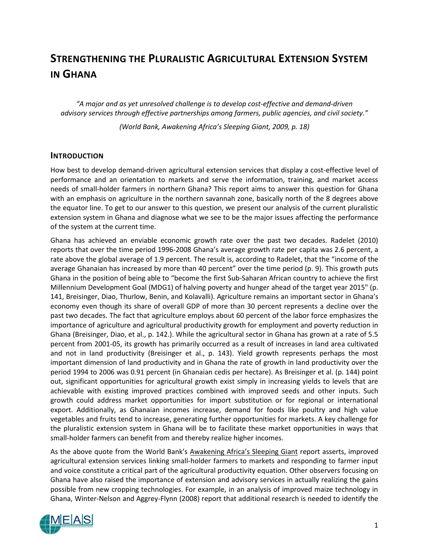## <span id="page-9-0"></span>**STRENGTHENING THE PLURALISTIC AGRICULTURAL EXTENSION SYSTEM IN GHANA**

*"A major and as yet unresolved challenge is to develop cost-effective and demand-driven advisory services through effective partnerships among farmers, public agencies, and civil society."* 

*(World Bank, Awakening Africa's Sleeping Giant, 2009, p. 18)*

## <span id="page-9-1"></span>**INTRODUCTION**

How best to develop demand-driven agricultural extension services that display a cost-effective level of performance and an orientation to markets and serve the information, training, and market access needs of small-holder farmers in northern Ghana? This report aims to answer this question for Ghana with an emphasis on agriculture in the northern savannah zone, basically north of the 8 degrees above the equator line. To get to our answer to this question, we present our analysis of the current pluralistic extension system in Ghana and diagnose what we see to be the major issues affecting the performance of the system at the current time.

Ghana has achieved an enviable economic growth rate over the past two decades. Radelet (2010) reports that over the time period 1996-2008 Ghana's average growth rate per capita was 2.6 percent, a rate above the global average of 1.9 percent. The result is, according to Radelet, that the "income of the average Ghanaian has increased by more than 40 percent" over the time period (p. 9). This growth puts Ghana in the position of being able to "become the first Sub-Saharan African country to achieve the first Millennium Development Goal (MDG1) of halving poverty and hunger ahead of the target year 2015" (p. 141, Breisinger, Diao, Thurlow, Benin, and Kolavalli). Agriculture remains an important sector in Ghana's economy even though its share of overall GDP of more than 30 percent represents a decline over the past two decades. The fact that agriculture employs about 60 percent of the labor force emphasizes the importance of agriculture and agricultural productivity growth for employment and poverty reduction in Ghana (Breisinger, Diao, et al., p. 142.). While the agricultural sector in Ghana has grown at a rate of 5.5 percent from 2001-05, its growth has primarily occurred as a result of increases in land area cultivated and not in land productivity (Breisinger et al., p. 143). Yield growth represents perhaps the most important dimension of land productivity and in Ghana the rate of growth in land productivity over the period 1994 to 2006 was 0.91 percent (in Ghanaian cedis per hectare). As Breisinger et al. (p. 144) point out, significant opportunities for agricultural growth exist simply in increasing yields to levels that are achievable with existing improved practices combined with improved seeds and other inputs. Such growth could address market opportunities for import substitution or for regional or international export. Additionally, as Ghanaian incomes increase, demand for foods like poultry and high value vegetables and fruits tend to increase, generating further opportunities for markets. A key challenge for the pluralistic extension system in Ghana will be to facilitate these market opportunities in ways that small-holder farmers can benefit from and thereby realize higher incomes.

As the above quote from the World Bank's Awakening Africa's Sleeping Giant report asserts, improved agricultural extension services linking small-holder farmers to markets and responding to farmer input and voice constitute a critical part of the agricultural productivity equation. Other observers focusing on Ghana have also raised the importance of extension and advisory services in actually realizing the gains possible from new cropping technologies. For example, in an analysis of improved maize technology in Ghana, Winter-Nelson and Aggrey-Flynn (2008) report that additional research is needed to identify the

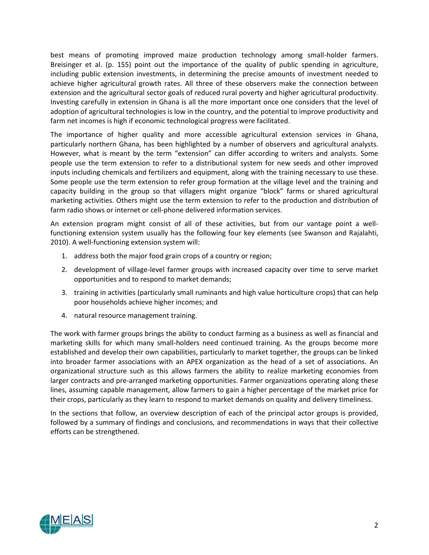best means of promoting improved maize production technology among small-holder farmers. Breisinger et al. (p. 155) point out the importance of the quality of public spending in agriculture, including public extension investments, in determining the precise amounts of investment needed to achieve higher agricultural growth rates. All three of these observers make the connection between extension and the agricultural sector goals of reduced rural poverty and higher agricultural productivity. Investing carefully in extension in Ghana is all the more important once one considers that the level of adoption of agricultural technologies is low in the country, and the potential to improve productivity and farm net incomes is high if economic technological progress were facilitated.

The importance of higher quality and more accessible agricultural extension services in Ghana, particularly northern Ghana, has been highlighted by a number of observers and agricultural analysts. However, what is meant by the term "extension" can differ according to writers and analysts. Some people use the term extension to refer to a distributional system for new seeds and other improved inputs including chemicals and fertilizers and equipment, along with the training necessary to use these. Some people use the term extension to refer group formation at the village level and the training and capacity building in the group so that villagers might organize "block" farms or shared agricultural marketing activities. Others might use the term extension to refer to the production and distribution of farm radio shows or internet or cell-phone delivered information services.

An extension program might consist of all of these activities, but from our vantage point a wellfunctioning extension system usually has the following four key elements (see Swanson and Rajalahti, 2010). A well-functioning extension system will:

- 1. address both the major food grain crops of a country or region;
- 2. development of village-level farmer groups with increased capacity over time to serve market opportunities and to respond to market demands;
- 3. training in activities (particularly small ruminants and high value horticulture crops) that can help poor households achieve higher incomes; and
- 4. natural resource management training.

The work with farmer groups brings the ability to conduct farming as a business as well as financial and marketing skills for which many small-holders need continued training. As the groups become more established and develop their own capabilities, particularly to market together, the groups can be linked into broader farmer associations with an APEX organization as the head of a set of associations. An organizational structure such as this allows farmers the ability to realize marketing economies from larger contracts and pre-arranged marketing opportunities. Farmer organizations operating along these lines, assuming capable management, allow farmers to gain a higher percentage of the market price for their crops, particularly as they learn to respond to market demands on quality and delivery timeliness.

In the sections that follow, an overview description of each of the principal actor groups is provided, followed by a summary of findings and conclusions, and recommendations in ways that their collective efforts can be strengthened.

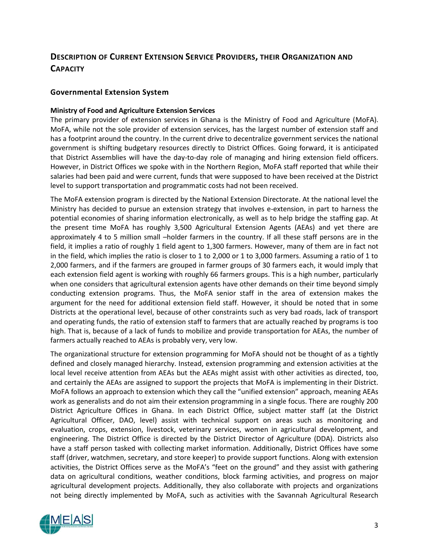## <span id="page-11-0"></span>**DESCRIPTION OF CURRENT EXTENSION SERVICE PROVIDERS, THEIR ORGANIZATION AND CAPACITY**

## <span id="page-11-1"></span>**Governmental Extension System**

#### **Ministry of Food and Agriculture Extension Services**

The primary provider of extension services in Ghana is the Ministry of Food and Agriculture (MoFA). MoFA, while not the sole provider of extension services, has the largest number of extension staff and has a footprint around the country. In the current drive to decentralize government services the national government is shifting budgetary resources directly to District Offices. Going forward, it is anticipated that District Assemblies will have the day-to-day role of managing and hiring extension field officers. However, in District Offices we spoke with in the Northern Region, MoFA staff reported that while their salaries had been paid and were current, funds that were supposed to have been received at the District level to support transportation and programmatic costs had not been received.

The MoFA extension program is directed by the National Extension Directorate. At the national level the Ministry has decided to pursue an extension strategy that involves e-extension, in part to harness the potential economies of sharing information electronically, as well as to help bridge the staffing gap. At the present time MoFA has roughly 3,500 Agricultural Extension Agents (AEAs) and yet there are approximately 4 to 5 million small –holder farmers in the country. If all these staff persons are in the field, it implies a ratio of roughly 1 field agent to 1,300 farmers. However, many of them are in fact not in the field, which implies the ratio is closer to 1 to 2,000 or 1 to 3,000 farmers. Assuming a ratio of 1 to 2,000 farmers, and if the farmers are grouped in farmer groups of 30 farmers each, it would imply that each extension field agent is working with roughly 66 farmers groups. This is a high number, particularly when one considers that agricultural extension agents have other demands on their time beyond simply conducting extension programs. Thus, the MoFA senior staff in the area of extension makes the argument for the need for additional extension field staff. However, it should be noted that in some Districts at the operational level, because of other constraints such as very bad roads, lack of transport and operating funds, the ratio of extension staff to farmers that are actually reached by programs is too high. That is, because of a lack of funds to mobilize and provide transportation for AEAs, the number of farmers actually reached to AEAs is probably very, very low.

The organizational structure for extension programming for MoFA should not be thought of as a tightly defined and closely managed hierarchy. Instead, extension programming and extension activities at the local level receive attention from AEAs but the AEAs might assist with other activities as directed, too, and certainly the AEAs are assigned to support the projects that MoFA is implementing in their District. MoFA follows an approach to extension which they call the "unified extension" approach, meaning AEAs work as generalists and do not aim their extension programming in a single focus. There are roughly 200 District Agriculture Offices in Ghana. In each District Office, subject matter staff (at the District Agricultural Officer, DAO, level) assist with technical support on areas such as monitoring and evaluation, crops, extension, livestock, veterinary services, women in agricultural development, and engineering. The District Office is directed by the District Director of Agriculture (DDA). Districts also have a staff person tasked with collecting market information. Additionally, District Offices have some staff (driver, watchmen, secretary, and store keeper) to provide support functions. Along with extension activities, the District Offices serve as the MoFA's "feet on the ground" and they assist with gathering data on agricultural conditions, weather conditions, block farming activities, and progress on major agricultural development projects. Additionally, they also collaborate with projects and organizations not being directly implemented by MoFA, such as activities with the Savannah Agricultural Research

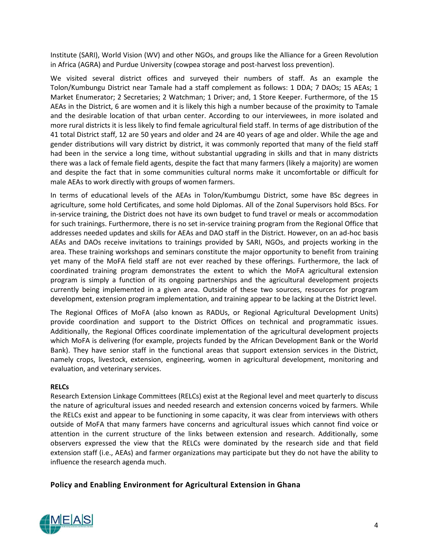Institute (SARI), World Vision (WV) and other NGOs, and groups like the Alliance for a Green Revolution in Africa (AGRA) and Purdue University (cowpea storage and post-harvest loss prevention).

We visited several district offices and surveyed their numbers of staff. As an example the Tolon/Kumbungu District near Tamale had a staff complement as follows: 1 DDA; 7 DAOs; 15 AEAs; 1 Market Enumerator; 2 Secretaries; 2 Watchman; 1 Driver; and, 1 Store Keeper. Furthermore, of the 15 AEAs in the District, 6 are women and it is likely this high a number because of the proximity to Tamale and the desirable location of that urban center. According to our interviewees, in more isolated and more rural districts it is less likely to find female agricultural field staff. In terms of age distribution of the 41 total District staff, 12 are 50 years and older and 24 are 40 years of age and older. While the age and gender distributions will vary district by district, it was commonly reported that many of the field staff had been in the service a long time, without substantial upgrading in skills and that in many districts there was a lack of female field agents, despite the fact that many farmers (likely a majority) are women and despite the fact that in some communities cultural norms make it uncomfortable or difficult for male AEAs to work directly with groups of women farmers.

In terms of educational levels of the AEAs in Tolon/Kumbumgu District, some have BSc degrees in agriculture, some hold Certificates, and some hold Diplomas. All of the Zonal Supervisors hold BScs. For in-service training, the District does not have its own budget to fund travel or meals or accommodation for such trainings. Furthermore, there is no set in-service training program from the Regional Office that addresses needed updates and skills for AEAs and DAO staff in the District. However, on an ad-hoc basis AEAs and DAOs receive invitations to trainings provided by SARI, NGOs, and projects working in the area. These training workshops and seminars constitute the major opportunity to benefit from training yet many of the MoFA field staff are not ever reached by these offerings. Furthermore, the lack of coordinated training program demonstrates the extent to which the MoFA agricultural extension program is simply a function of its ongoing partnerships and the agricultural development projects currently being implemented in a given area. Outside of these two sources, resources for program development, extension program implementation, and training appear to be lacking at the District level.

The Regional Offices of MoFA (also known as RADUs, or Regional Agricultural Development Units) provide coordination and support to the District Offices on technical and programmatic issues. Additionally, the Regional Offices coordinate implementation of the agricultural development projects which MoFA is delivering (for example, projects funded by the African Development Bank or the World Bank). They have senior staff in the functional areas that support extension services in the District, namely crops, livestock, extension, engineering, women in agricultural development, monitoring and evaluation, and veterinary services.

## **RELCs**

Research Extension Linkage Committees (RELCs) exist at the Regional level and meet quarterly to discuss the nature of agricultural issues and needed research and extension concerns voiced by farmers. While the RELCs exist and appear to be functioning in some capacity, it was clear from interviews with others outside of MoFA that many farmers have concerns and agricultural issues which cannot find voice or attention in the current structure of the links between extension and research. Additionally, some observers expressed the view that the RELCs were dominated by the research side and that field extension staff (i.e., AEAs) and farmer organizations may participate but they do not have the ability to influence the research agenda much.

## <span id="page-12-0"></span>**Policy and Enabling Environment for Agricultural Extension in Ghana**

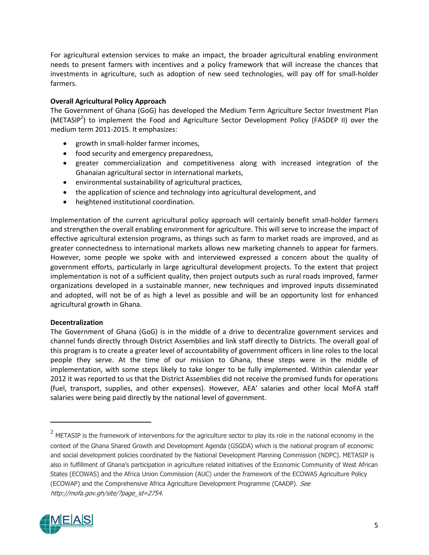For agricultural extension services to make an impact, the broader agricultural enabling environment needs to present farmers with incentives and a policy framework that will increase the chances that investments in agriculture, such as adoption of new seed technologies, will pay off for small-holder farmers.

## **Overall Agricultural Policy Approach**

The Government of Ghana (GoG) has developed the Medium Term Agriculture Sector Investment Plan (METASIP<sup>2</sup>) to implement the Food and Agriculture Sector Development Policy (FASDEP II) over the medium term 2011-2015. It emphasizes:

- growth in small-holder farmer incomes,
- food security and emergency preparedness,
- greater commercialization and competitiveness along with increased integration of the Ghanaian agricultural sector in international markets,
- environmental sustainability of agricultural practices,
- the application of science and technology into agricultural development, and
- heightened institutional coordination.

Implementation of the current agricultural policy approach will certainly benefit small-holder farmers and strengthen the overall enabling environment for agriculture. This will serve to increase the impact of effective agricultural extension programs, as things such as farm to market roads are improved, and as greater connectedness to international markets allows new marketing channels to appear for farmers. However, some people we spoke with and interviewed expressed a concern about the quality of government efforts, particularly in large agricultural development projects. To the extent that project implementation is not of a sufficient quality, then project outputs such as rural roads improved, farmer organizations developed in a sustainable manner, new techniques and improved inputs disseminated and adopted, will not be of as high a level as possible and will be an opportunity lost for enhanced agricultural growth in Ghana.

## **Decentralization**

The Government of Ghana (GoG) is in the middle of a drive to decentralize government services and channel funds directly through District Assemblies and link staff directly to Districts. The overall goal of this program is to create a greater level of accountability of government officers in line roles to the local people they serve. At the time of our mission to Ghana, these steps were in the middle of implementation, with some steps likely to take longer to be fully implemented. Within calendar year 2012 it was reported to us that the District Assemblies did not receive the promised funds for operations (fuel, transport, supplies, and other expenses). However, AEA' salaries and other local MoFA staff salaries were being paid directly by the national level of government.

 $^2$  METASIP is the framework of interventions for the agriculture sector to play its role in the national economy in the context of the Ghana Shared Growth and Development Agenda (GSGDA) which is the national program of economic and social development policies coordinated by the National Development Planning Commission (NDPC). METASIP is also in fulfillment of Ghana's participation in agriculture related initiatives of the Economic Community of West African States (ECOWAS) and the Africa Union Commission (AUC) under the framework of the ECOWAS Agriculture Policy (ECOWAP) and the Comprehensive Africa Agriculture Development Programme (CAADP). See [http://mofa.gov.gh/site/?page\\_id=2754.](http://mofa.gov.gh/site/?page_id=2754)



l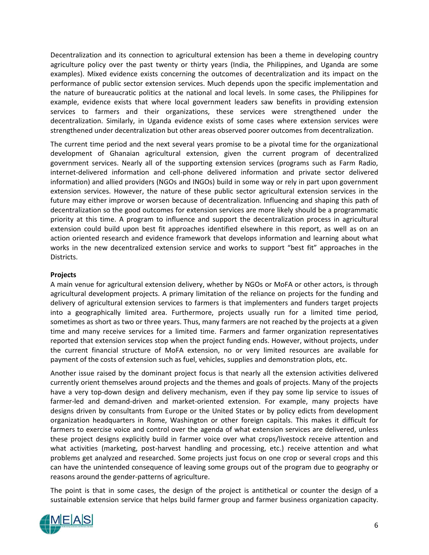Decentralization and its connection to agricultural extension has been a theme in developing country agriculture policy over the past twenty or thirty years (India, the Philippines, and Uganda are some examples). Mixed evidence exists concerning the outcomes of decentralization and its impact on the performance of public sector extension services. Much depends upon the specific implementation and the nature of bureaucratic politics at the national and local levels. In some cases, the Philippines for example, evidence exists that where local government leaders saw benefits in providing extension services to farmers and their organizations, these services were strengthened under the decentralization. Similarly, in Uganda evidence exists of some cases where extension services were strengthened under decentralization but other areas observed poorer outcomes from decentralization.

The current time period and the next several years promise to be a pivotal time for the organizational development of Ghanaian agricultural extension, given the current program of decentralized government services. Nearly all of the supporting extension services (programs such as Farm Radio, internet-delivered information and cell-phone delivered information and private sector delivered information) and allied providers (NGOs and INGOs) build in some way or rely in part upon government extension services. However, the nature of these public sector agricultural extension services in the future may either improve or worsen because of decentralization. Influencing and shaping this path of decentralization so the good outcomes for extension services are more likely should be a programmatic priority at this time. A program to influence and support the decentralization process in agricultural extension could build upon best fit approaches identified elsewhere in this report, as well as on an action oriented research and evidence framework that develops information and learning about what works in the new decentralized extension service and works to support "best fit" approaches in the Districts.

## **Projects**

A main venue for agricultural extension delivery, whether by NGOs or MoFA or other actors, is through agricultural development projects. A primary limitation of the reliance on projects for the funding and delivery of agricultural extension services to farmers is that implementers and funders target projects into a geographically limited area. Furthermore, projects usually run for a limited time period, sometimes as short as two or three years. Thus, many farmers are not reached by the projects at a given time and many receive services for a limited time. Farmers and farmer organization representatives reported that extension services stop when the project funding ends. However, without projects, under the current financial structure of MoFA extension, no or very limited resources are available for payment of the costs of extension such as fuel, vehicles, supplies and demonstration plots, etc.

Another issue raised by the dominant project focus is that nearly all the extension activities delivered currently orient themselves around projects and the themes and goals of projects. Many of the projects have a very top-down design and delivery mechanism, even if they pay some lip service to issues of farmer-led and demand-driven and market-oriented extension. For example, many projects have designs driven by consultants from Europe or the United States or by policy edicts from development organization headquarters in Rome, Washington or other foreign capitals. This makes it difficult for farmers to exercise voice and control over the agenda of what extension services are delivered, unless these project designs explicitly build in farmer voice over what crops/livestock receive attention and what activities (marketing, post-harvest handling and processing, etc.) receive attention and what problems get analyzed and researched. Some projects just focus on one crop or several crops and this can have the unintended consequence of leaving some groups out of the program due to geography or reasons around the gender-patterns of agriculture.

The point is that in some cases, the design of the project is antithetical or counter the design of a sustainable extension service that helps build farmer group and farmer business organization capacity.

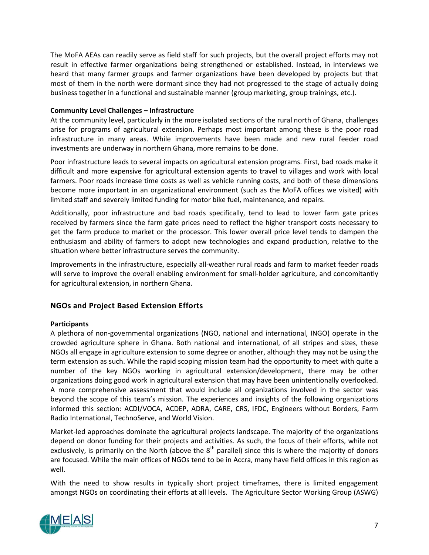The MoFA AEAs can readily serve as field staff for such projects, but the overall project efforts may not result in effective farmer organizations being strengthened or established. Instead, in interviews we heard that many farmer groups and farmer organizations have been developed by projects but that most of them in the north were dormant since they had not progressed to the stage of actually doing business together in a functional and sustainable manner (group marketing, group trainings, etc.).

## **Community Level Challenges – Infrastructure**

At the community level, particularly in the more isolated sections of the rural north of Ghana, challenges arise for programs of agricultural extension. Perhaps most important among these is the poor road infrastructure in many areas. While improvements have been made and new rural feeder road investments are underway in northern Ghana, more remains to be done.

Poor infrastructure leads to several impacts on agricultural extension programs. First, bad roads make it difficult and more expensive for agricultural extension agents to travel to villages and work with local farmers. Poor roads increase time costs as well as vehicle running costs, and both of these dimensions become more important in an organizational environment (such as the MoFA offices we visited) with limited staff and severely limited funding for motor bike fuel, maintenance, and repairs.

Additionally, poor infrastructure and bad roads specifically, tend to lead to lower farm gate prices received by farmers since the farm gate prices need to reflect the higher transport costs necessary to get the farm produce to market or the processor. This lower overall price level tends to dampen the enthusiasm and ability of farmers to adopt new technologies and expand production, relative to the situation where better infrastructure serves the community.

Improvements in the infrastructure, especially all-weather rural roads and farm to market feeder roads will serve to improve the overall enabling environment for small-holder agriculture, and concomitantly for agricultural extension, in northern Ghana.

## <span id="page-15-0"></span>**NGOs and Project Based Extension Efforts**

## **Participants**

A plethora of non-governmental organizations (NGO, national and international, INGO) operate in the crowded agriculture sphere in Ghana. Both national and international, of all stripes and sizes, these NGOs all engage in agriculture extension to some degree or another, although they may not be using the term extension as such. While the rapid scoping mission team had the opportunity to meet with quite a number of the key NGOs working in agricultural extension/development, there may be other organizations doing good work in agricultural extension that may have been unintentionally overlooked. A more comprehensive assessment that would include all organizations involved in the sector was beyond the scope of this team's mission. The experiences and insights of the following organizations informed this section: ACDI/VOCA, ACDEP, ADRA, CARE, CRS, IFDC, Engineers without Borders, Farm Radio International, TechnoServe, and World Vision.

Market-led approaches dominate the agricultural projects landscape. The majority of the organizations depend on donor funding for their projects and activities. As such, the focus of their efforts, while not exclusively, is primarily on the North (above the  $8<sup>th</sup>$  parallel) since this is where the majority of donors are focused. While the main offices of NGOs tend to be in Accra, many have field offices in this region as well.

With the need to show results in typically short project timeframes, there is limited engagement amongst NGOs on coordinating their efforts at all levels. The Agriculture Sector Working Group (ASWG)

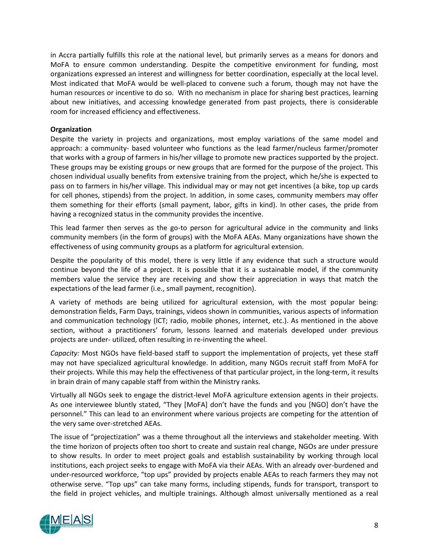in Accra partially fulfills this role at the national level, but primarily serves as a means for donors and MoFA to ensure common understanding. Despite the competitive environment for funding, most organizations expressed an interest and willingness for better coordination, especially at the local level. Most indicated that MoFA would be well-placed to convene such a forum, though may not have the human resources or incentive to do so. With no mechanism in place for sharing best practices, learning about new initiatives, and accessing knowledge generated from past projects, there is considerable room for increased efficiency and effectiveness.

## **Organization**

Despite the variety in projects and organizations, most employ variations of the same model and approach: a community- based volunteer who functions as the lead farmer/nucleus farmer/promoter that works with a group of farmers in his/her village to promote new practices supported by the project. These groups may be existing groups or new groups that are formed for the purpose of the project. This chosen individual usually benefits from extensive training from the project, which he/she is expected to pass on to farmers in his/her village. This individual may or may not get incentives (a bike, top up cards for cell phones, stipends) from the project. In addition, in some cases, community members may offer them something for their efforts (small payment, labor, gifts in kind). In other cases, the pride from having a recognized status in the community provides the incentive.

This lead farmer then serves as the go-to person for agricultural advice in the community and links community members (in the form of groups) with the MoFA AEAs. Many organizations have shown the effectiveness of using community groups as a platform for agricultural extension.

Despite the popularity of this model, there is very little if any evidence that such a structure would continue beyond the life of a project. It is possible that it is a sustainable model, if the community members value the service they are receiving and show their appreciation in ways that match the expectations of the lead farmer (i.e., small payment, recognition).

A variety of methods are being utilized for agricultural extension, with the most popular being: demonstration fields, Farm Days, trainings, videos shown in communities, various aspects of information and communication technology (ICT; radio, mobile phones, internet, etc.). As mentioned in the above section, without a practitioners' forum, lessons learned and materials developed under previous projects are under- utilized, often resulting in re-inventing the wheel.

*Capacity:* Most NGOs have field-based staff to support the implementation of projects, yet these staff may not have specialized agricultural knowledge. In addition, many NGOs recruit staff from MoFA for their projects. While this may help the effectiveness of that particular project, in the long-term, it results in brain drain of many capable staff from within the Ministry ranks.

Virtually all NGOs seek to engage the district-level MoFA agriculture extension agents in their projects. As one interviewee bluntly stated, "They [MoFA] don't have the funds and you [NGO] don't have the personnel." This can lead to an environment where various projects are competing for the attention of the very same over-stretched AEAs.

The issue of "projectization" was a theme throughout all the interviews and stakeholder meeting. With the time horizon of projects often too short to create and sustain real change, NGOs are under pressure to show results. In order to meet project goals and establish sustainability by working through local institutions, each project seeks to engage with MoFA via their AEAs. With an already over-burdened and under-resourced workforce, "top ups" provided by projects enable AEAs to reach farmers they may not otherwise serve. "Top ups" can take many forms, including stipends, funds for transport, transport to the field in project vehicles, and multiple trainings. Although almost universally mentioned as a real

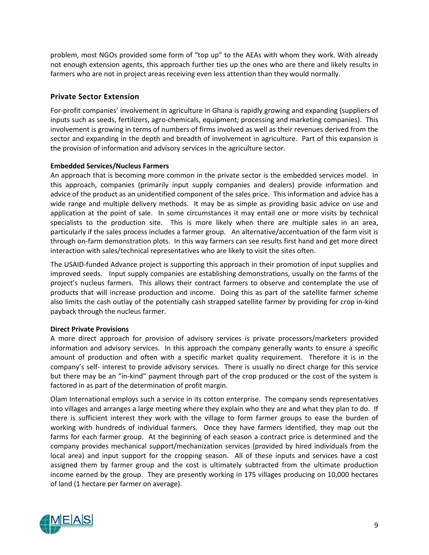problem, most NGOs provided some form of "top up" to the AEAs with whom they work. With already not enough extension agents, this approach further ties up the ones who are there and likely results in farmers who are not in project areas receiving even less attention than they would normally.

## <span id="page-17-0"></span>**Private Sector Extension**

For-profit companies' involvement in agriculture in Ghana is rapidly growing and expanding (suppliers of inputs such as seeds, fertilizers, agro-chemicals, equipment; processing and marketing companies). This involvement is growing in terms of numbers of firms involved as well as their revenues derived from the sector and expanding in the depth and breadth of involvement in agriculture. Part of this expansion is the provision of information and advisory services in the agriculture sector.

## **Embedded Services/Nucleus Farmers**

An approach that is becoming more common in the private sector is the embedded services model. In this approach, companies (primarily input supply companies and dealers) provide information and advice of the product as an unidentified component of the sales price. This information and advice has a wide range and multiple delivery methods. It may be as simple as providing basic advice on use and application at the point of sale. In some circumstances it may entail one or more visits by technical specialists to the production site. This is more likely when there are multiple sales in an area, particularly if the sales process includes a farmer group. An alternative/accentuation of the farm visit is through on-farm demonstration plots. In this way farmers can see results first hand and get more direct interaction with sales/technical representatives who are likely to visit the sites often.

The USAID-funded Advance project is supporting this approach in their promotion of input supplies and improved seeds. Input supply companies are establishing demonstrations, usually on the farms of the project's nucleus farmers. This allows their contract farmers to observe and contemplate the use of products that will increase production and income. Doing this as part of the satellite farmer scheme also limits the cash outlay of the potentially cash strapped satellite farmer by providing for crop in-kind payback through the nucleus farmer.

## **Direct Private Provisions**

A more direct approach for provision of advisory services is private processors/marketers provided information and advisory services. In this approach the company generally wants to ensure a specific amount of production and often with a specific market quality requirement. Therefore it is in the company's self- interest to provide advisory services. There is usually no direct charge for this service but there may be an "in-kind" payment through part of the crop produced or the cost of the system is factored in as part of the determination of profit margin.

Olam International employs such a service in its cotton enterprise. The company sends representatives into villages and arranges a large meeting where they explain who they are and what they plan to do. If there is sufficient interest they work with the village to form farmer groups to ease the burden of working with hundreds of individual farmers. Once they have farmers identified, they map out the farms for each farmer group. At the beginning of each season a contract price is determined and the company provides mechanical support/mechanization services (provided by hired individuals from the local area) and input support for the cropping season. All of these inputs and services have a cost assigned them by farmer group and the cost is ultimately subtracted from the ultimate production income earned by the group. They are presently working in 175 villages producing on 10,000 hectares of land (1 hectare per farmer on average).

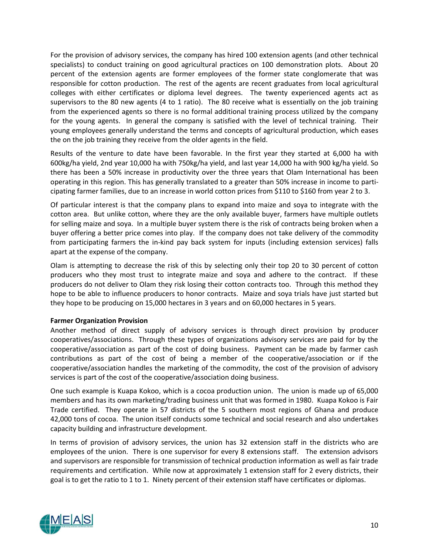For the provision of advisory services, the company has hired 100 extension agents (and other technical specialists) to conduct training on good agricultural practices on 100 demonstration plots. About 20 percent of the extension agents are former employees of the former state conglomerate that was responsible for cotton production. The rest of the agents are recent graduates from local agricultural colleges with either certificates or diploma level degrees. The twenty experienced agents act as supervisors to the 80 new agents (4 to 1 ratio). The 80 receive what is essentially on the job training from the experienced agents so there is no formal additional training process utilized by the company for the young agents. In general the company is satisfied with the level of technical training. Their young employees generally understand the terms and concepts of agricultural production, which eases the on the job training they receive from the older agents in the field.

Results of the venture to date have been favorable. In the first year they started at 6,000 ha with 600kg/ha yield, 2nd year 10,000 ha with 750kg/ha yield, and last year 14,000 ha with 900 kg/ha yield. So there has been a 50% increase in productivity over the three years that Olam International has been operating in this region. This has generally translated to a greater than 50% increase in income to participating farmer families, due to an increase in world cotton prices from \$110 to \$160 from year 2 to 3.

Of particular interest is that the company plans to expand into maize and soya to integrate with the cotton area. But unlike cotton, where they are the only available buyer, farmers have multiple outlets for selling maize and soya. In a multiple buyer system there is the risk of contracts being broken when a buyer offering a better price comes into play. If the company does not take delivery of the commodity from participating farmers the in-kind pay back system for inputs (including extension services) falls apart at the expense of the company.

Olam is attempting to decrease the risk of this by selecting only their top 20 to 30 percent of cotton producers who they most trust to integrate maize and soya and adhere to the contract. If these producers do not deliver to Olam they risk losing their cotton contracts too. Through this method they hope to be able to influence producers to honor contracts. Maize and soya trials have just started but they hope to be producing on 15,000 hectares in 3 years and on 60,000 hectares in 5 years.

## **Farmer Organization Provision**

Another method of direct supply of advisory services is through direct provision by producer cooperatives/associations. Through these types of organizations advisory services are paid for by the cooperative/association as part of the cost of doing business. Payment can be made by farmer cash contributions as part of the cost of being a member of the cooperative/association or if the cooperative/association handles the marketing of the commodity, the cost of the provision of advisory services is part of the cost of the cooperative/association doing business.

One such example is Kuapa Kokoo, which is a cocoa production union. The union is made up of 65,000 members and has its own marketing/trading business unit that was formed in 1980. Kuapa Kokoo is Fair Trade certified. They operate in 57 districts of the 5 southern most regions of Ghana and produce 42,000 tons of cocoa. The union itself conducts some technical and social research and also undertakes capacity building and infrastructure development.

In terms of provision of advisory services, the union has 32 extension staff in the districts who are employees of the union. There is one supervisor for every 8 extensions staff. The extension advisors and supervisors are responsible for transmission of technical production information as well as fair trade requirements and certification. While now at approximately 1 extension staff for 2 every districts, their goal is to get the ratio to 1 to 1. Ninety percent of their extension staff have certificates or diplomas.

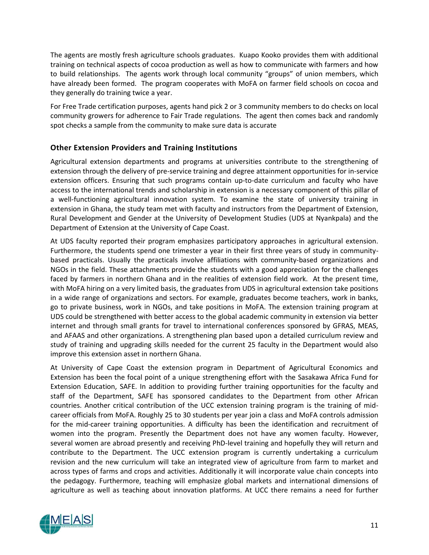The agents are mostly fresh agriculture schools graduates. Kuapo Kooko provides them with additional training on technical aspects of cocoa production as well as how to communicate with farmers and how to build relationships. The agents work through local community "groups" of union members, which have already been formed. The program cooperates with MoFA on farmer field schools on cocoa and they generally do training twice a year.

For Free Trade certification purposes, agents hand pick 2 or 3 community members to do checks on local community growers for adherence to Fair Trade regulations. The agent then comes back and randomly spot checks a sample from the community to make sure data is accurate

## <span id="page-19-0"></span>**Other Extension Providers and Training Institutions**

Agricultural extension departments and programs at universities contribute to the strengthening of extension through the delivery of pre-service training and degree attainment opportunities for in-service extension officers. Ensuring that such programs contain up-to-date curriculum and faculty who have access to the international trends and scholarship in extension is a necessary component of this pillar of a well-functioning agricultural innovation system. To examine the state of university training in extension in Ghana, the study team met with faculty and instructors from the Department of Extension, Rural Development and Gender at the University of Development Studies (UDS at Nyankpala) and the Department of Extension at the University of Cape Coast.

At UDS faculty reported their program emphasizes participatory approaches in agricultural extension. Furthermore, the students spend one trimester a year in their first three years of study in communitybased practicals. Usually the practicals involve affiliations with community-based organizations and NGOs in the field. These attachments provide the students with a good appreciation for the challenges faced by farmers in northern Ghana and in the realities of extension field work. At the present time, with MoFA hiring on a very limited basis, the graduates from UDS in agricultural extension take positions in a wide range of organizations and sectors. For example, graduates become teachers, work in banks, go to private business, work in NGOs, and take positions in MoFA. The extension training program at UDS could be strengthened with better access to the global academic community in extension via better internet and through small grants for travel to international conferences sponsored by GFRAS, MEAS, and AFAAS and other organizations. A strengthening plan based upon a detailed curriculum review and study of training and upgrading skills needed for the current 25 faculty in the Department would also improve this extension asset in northern Ghana.

At University of Cape Coast the extension program in Department of Agricultural Economics and Extension has been the focal point of a unique strengthening effort with the Sasakawa Africa Fund for Extension Education, SAFE. In addition to providing further training opportunities for the faculty and staff of the Department, SAFE has sponsored candidates to the Department from other African countries. Another critical contribution of the UCC extension training program is the training of midcareer officials from MoFA. Roughly 25 to 30 students per year join a class and MoFA controls admission for the mid-career training opportunities. A difficulty has been the identification and recruitment of women into the program. Presently the Department does not have any women faculty. However, several women are abroad presently and receiving PhD-level training and hopefully they will return and contribute to the Department. The UCC extension program is currently undertaking a curriculum revision and the new curriculum will take an integrated view of agriculture from farm to market and across types of farms and crops and activities. Additionally it will incorporate value chain concepts into the pedagogy. Furthermore, teaching will emphasize global markets and international dimensions of agriculture as well as teaching about innovation platforms. At UCC there remains a need for further

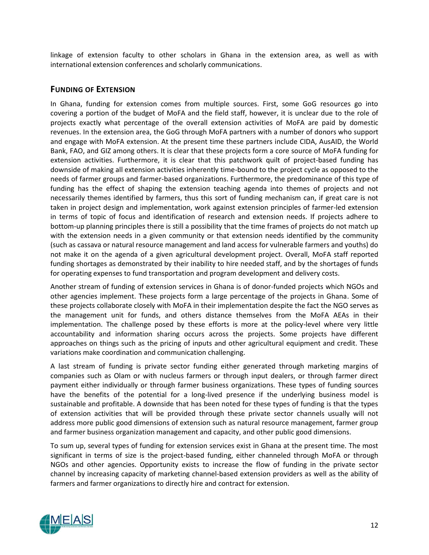linkage of extension faculty to other scholars in Ghana in the extension area, as well as with international extension conferences and scholarly communications.

## <span id="page-20-0"></span>**FUNDING OF EXTENSION**

In Ghana, funding for extension comes from multiple sources. First, some GoG resources go into covering a portion of the budget of MoFA and the field staff, however, it is unclear due to the role of projects exactly what percentage of the overall extension activities of MoFA are paid by domestic revenues. In the extension area, the GoG through MoFA partners with a number of donors who support and engage with MoFA extension. At the present time these partners include CIDA, AusAID, the World Bank, FAO, and GIZ among others. It is clear that these projects form a core source of MoFA funding for extension activities. Furthermore, it is clear that this patchwork quilt of project-based funding has downside of making all extension activities inherently time-bound to the project cycle as opposed to the needs of farmer groups and farmer-based organizations. Furthermore, the predominance of this type of funding has the effect of shaping the extension teaching agenda into themes of projects and not necessarily themes identified by farmers, thus this sort of funding mechanism can, if great care is not taken in project design and implementation, work against extension principles of farmer-led extension in terms of topic of focus and identification of research and extension needs. If projects adhere to bottom-up planning principles there is still a possibility that the time frames of projects do not match up with the extension needs in a given community or that extension needs identified by the community (such as cassava or natural resource management and land access for vulnerable farmers and youths) do not make it on the agenda of a given agricultural development project. Overall, MoFA staff reported funding shortages as demonstrated by their inability to hire needed staff, and by the shortages of funds for operating expenses to fund transportation and program development and delivery costs.

Another stream of funding of extension services in Ghana is of donor-funded projects which NGOs and other agencies implement. These projects form a large percentage of the projects in Ghana. Some of these projects collaborate closely with MoFA in their implementation despite the fact the NGO serves as the management unit for funds, and others distance themselves from the MoFA AEAs in their implementation. The challenge posed by these efforts is more at the policy-level where very little accountability and information sharing occurs across the projects. Some projects have different approaches on things such as the pricing of inputs and other agricultural equipment and credit. These variations make coordination and communication challenging.

A last stream of funding is private sector funding either generated through marketing margins of companies such as Olam or with nucleus farmers or through input dealers, or through farmer direct payment either individually or through farmer business organizations. These types of funding sources have the benefits of the potential for a long-lived presence if the underlying business model is sustainable and profitable. A downside that has been noted for these types of funding is that the types of extension activities that will be provided through these private sector channels usually will not address more public good dimensions of extension such as natural resource management, farmer group and farmer business organization management and capacity, and other public good dimensions.

To sum up, several types of funding for extension services exist in Ghana at the present time. The most significant in terms of size is the project-based funding, either channeled through MoFA or through NGOs and other agencies. Opportunity exists to increase the flow of funding in the private sector channel by increasing capacity of marketing channel-based extension providers as well as the ability of farmers and farmer organizations to directly hire and contract for extension.

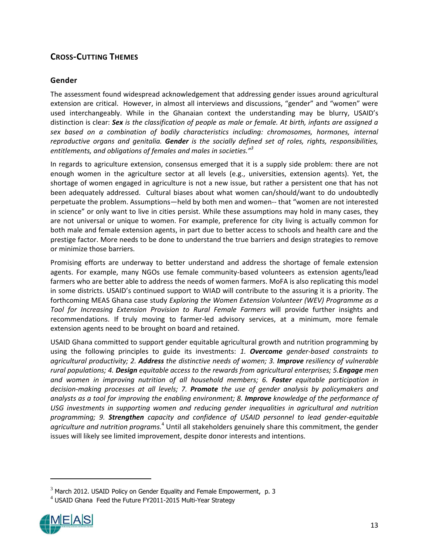## <span id="page-21-0"></span>**CROSS-CUTTING THEMES**

## <span id="page-21-1"></span>**Gender**

The assessment found widespread acknowledgement that addressing gender issues around agricultural extension are critical. However, in almost all interviews and discussions, "gender" and "women" were used interchangeably. While in the Ghanaian context the understanding may be blurry, USAID's distinction is clear: *Sex is the classification of people as male or female. At birth, infants are assigned a sex based on a combination of bodily characteristics including: chromosomes, hormones, internal reproductive organs and genitalia. Gender is the socially defined set of roles, rights, responsibilities, entitlements, and obligations of females and males in societies."<sup>3</sup>*

In regards to agriculture extension, consensus emerged that it is a supply side problem: there are not enough women in the agriculture sector at all levels (e.g., universities, extension agents). Yet, the shortage of women engaged in agriculture is not a new issue, but rather a persistent one that has not been adequately addressed. Cultural biases about what women can/should/want to do undoubtedly perpetuate the problem. Assumptions—held by both men and women-- that "women are not interested in science" or only want to live in cities persist. While these assumptions may hold in many cases, they are not universal or unique to women. For example, preference for city living is actually common for both male and female extension agents, in part due to better access to schools and health care and the prestige factor. More needs to be done to understand the true barriers and design strategies to remove or minimize those barriers.

Promising efforts are underway to better understand and address the shortage of female extension agents. For example, many NGOs use female community-based volunteers as extension agents/lead farmers who are better able to address the needs of women farmers. MoFA is also replicating this model in some districts. USAID's continued support to WIAD will contribute to the assuring it is a priority. The forthcoming MEAS Ghana case study *Exploring the Women Extension Volunteer (WEV) Programme as a Tool for Increasing Extension Provision to Rural Female Farmers* will provide further insights and recommendations. If truly moving to farmer-led advisory services, at a minimum, more female extension agents need to be brought on board and retained.

USAID Ghana committed to support gender equitable agricultural growth and nutrition programming by using the following principles to guide its investments: *1. Overcome gender-based constraints to agricultural productivity; 2. Address the distinctive needs of women; 3. Improve resiliency of vulnerable rural populations; 4. Design equitable access to the rewards from agricultural enterprises; 5.Engage men and women in improving nutrition of all household members; 6. Foster equitable participation in decision-making processes at all levels; 7. Promote the use of gender analysis by policymakers and analysts as a tool for improving the enabling environment; 8. Improve knowledge of the performance of USG investments in supporting women and reducing gender inequalities in agricultural and nutrition programming; 9. Strengthen capacity and confidence of USAID personnel to lead gender-equitable agriculture and nutrition programs.*<sup>4</sup> Until all stakeholders genuinely share this commitment, the gender issues will likely see limited improvement, despite donor interests and intentions.

<sup>4</sup> USAID Ghana Feed the Future FY2011-2015 Multi-Year Strategy



 $3$  March 2012. USAID Policy on Gender Equality and Female Empowerment, p. 3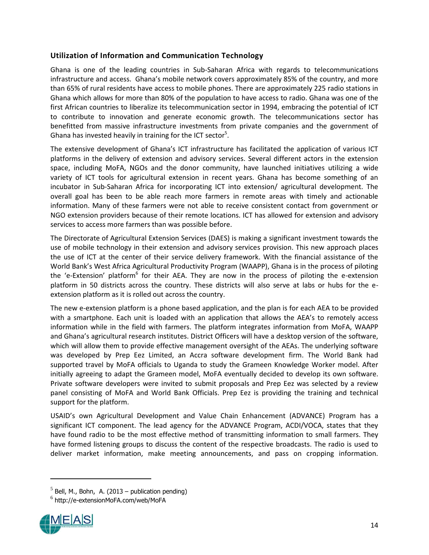## <span id="page-22-0"></span>**Utilization of Information and Communication Technology**

Ghana is one of the leading countries in Sub-Saharan Africa with regards to telecommunications infrastructure and access. Ghana's mobile network covers approximately 85% of the country, and more than 65% of rural residents have access to mobile phones. There are approximately 225 radio stations in Ghana which allows for more than 80% of the population to have access to radio. Ghana was one of the first African countries to liberalize its telecommunication sector in 1994, embracing the potential of ICT to contribute to innovation and generate economic growth. The telecommunications sector has benefitted from massive infrastructure investments from private companies and the government of Ghana has invested heavily in training for the ICT sector<sup>5</sup>.

The extensive development of Ghana's ICT infrastructure has facilitated the application of various ICT platforms in the delivery of extension and advisory services. Several different actors in the extension space, including MoFA, NGOs and the donor community, have launched initiatives utilizing a wide variety of ICT tools for agricultural extension in recent years. Ghana has become something of an incubator in Sub-Saharan Africa for incorporating ICT into extension/ agricultural development. The overall goal has been to be able reach more farmers in remote areas with timely and actionable information. Many of these farmers were not able to receive consistent contact from government or NGO extension providers because of their remote locations. ICT has allowed for extension and advisory services to access more farmers than was possible before.

The Directorate of Agricultural Extension Services (DAES) is making a significant investment towards the use of mobile technology in their extension and advisory services provision. This new approach places the use of ICT at the center of their service delivery framework. With the financial assistance of the World Bank's West Africa Agricultural Productivity Program (WAAPP), Ghana is in the process of piloting the 'e-Extension' platform<sup>6</sup> for their AEA. They are now in the process of piloting the e-extension platform in 50 districts across the country. These districts will also serve at labs or hubs for the eextension platform as it is rolled out across the country.

The new e-extension platform is a phone based application, and the plan is for each AEA to be provided with a smartphone. Each unit is loaded with an application that allows the AEA's to remotely access information while in the field with farmers. The platform integrates information from MoFA, WAAPP and Ghana's agricultural research institutes. District Officers will have a desktop version of the software, which will allow them to provide effective management oversight of the AEAs. The underlying software was developed by Prep Eez Limited, an Accra software development firm. The World Bank had supported travel by MoFA officials to Uganda to study the Grameen Knowledge Worker model. After initially agreeing to adapt the Grameen model, MoFA eventually decided to develop its own software. Private software developers were invited to submit proposals and Prep Eez was selected by a review panel consisting of MoFA and World Bank Officials. Prep Eez is providing the training and technical support for the platform.

USAID's own Agricultural Development and Value Chain Enhancement (ADVANCE) Program has a significant ICT component. The lead agency for the ADVANCE Program, ACDI/VOCA, states that they have found radio to be the most effective method of transmitting information to small farmers. They have formed listening groups to discuss the content of the respective broadcasts. The radio is used to deliver market information, make meeting announcements, and pass on cropping information.

 $^6$  http://e-extensionMoFA.com/web/MoFA



 $<sup>5</sup>$  Bell, M., Bohn, A. (2013 – publication pending)</sup>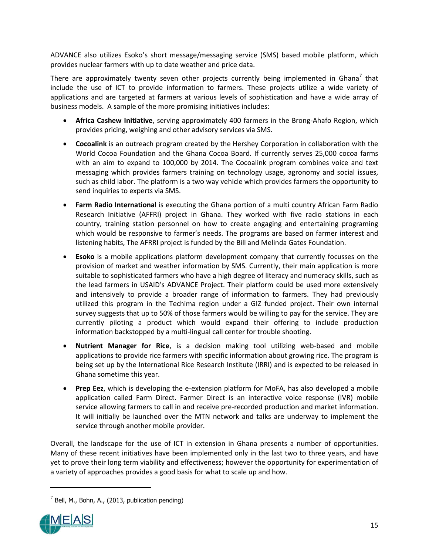ADVANCE also utilizes Esoko's short message/messaging service (SMS) based mobile platform, which provides nuclear farmers with up to date weather and price data.

There are approximately twenty seven other projects currently being implemented in Ghana<sup>7</sup> that include the use of ICT to provide information to farmers. These projects utilize a wide variety of applications and are targeted at farmers at various levels of sophistication and have a wide array of business models. A sample of the more promising initiatives includes:

- **Africa Cashew Initiative**, serving approximately 400 farmers in the Brong-Ahafo Region, which provides pricing, weighing and other advisory services via SMS.
- **Cocoalink** is an outreach program created by the Hershey Corporation in collaboration with the World Cocoa Foundation and the Ghana Cocoa Board. If currently serves 25,000 cocoa farms with an aim to expand to 100,000 by 2014. The Cocoalink program combines voice and text messaging which provides farmers training on technology usage, agronomy and social issues, such as child labor. The platform is a two way vehicle which provides farmers the opportunity to send inquiries to experts via SMS.
- **Farm Radio International** is executing the Ghana portion of a multi country African Farm Radio Research Initiative (AFFRI) project in Ghana. They worked with five radio stations in each country, training station personnel on how to create engaging and entertaining programing which would be responsive to farmer's needs. The programs are based on farmer interest and listening habits, The AFRRI project is funded by the Bill and Melinda Gates Foundation.
- **Esoko** is a mobile applications platform development company that currently focusses on the provision of market and weather information by SMS. Currently, their main application is more suitable to sophisticated farmers who have a high degree of literacy and numeracy skills, such as the lead farmers in USAID's ADVANCE Project. Their platform could be used more extensively and intensively to provide a broader range of information to farmers. They had previously utilized this program in the Techima region under a GIZ funded project. Their own internal survey suggests that up to 50% of those farmers would be willing to pay for the service. They are currently piloting a product which would expand their offering to include production information backstopped by a multi-lingual call center for trouble shooting.
- **Nutrient Manager for Rice**, is a decision making tool utilizing web-based and mobile applications to provide rice farmers with specific information about growing rice. The program is being set up by the International Rice Research Institute (IRRI) and is expected to be released in Ghana sometime this year.
- **Prep Eez**, which is developing the e-extension platform for MoFA, has also developed a mobile application called Farm Direct. Farmer Direct is an interactive voice response (IVR) mobile service allowing farmers to call in and receive pre-recorded production and market information. It will initially be launched over the MTN network and talks are underway to implement the service through another mobile provider.

Overall, the landscape for the use of ICT in extension in Ghana presents a number of opportunities. Many of these recent initiatives have been implemented only in the last two to three years, and have yet to prove their long term viability and effectiveness; however the opportunity for experimentation of a variety of approaches provides a good basis for what to scale up and how.

 $^7$  Bell, M., Bohn, A., (2013, publication pending)

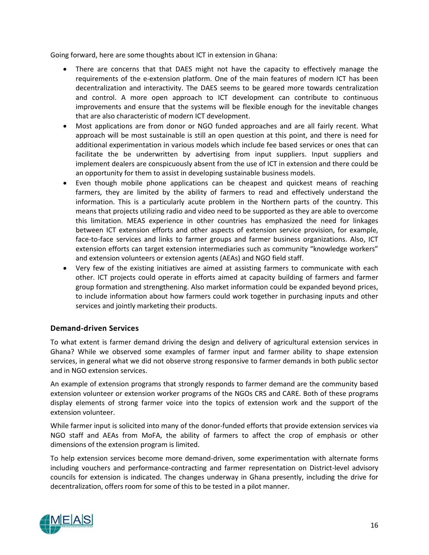Going forward, here are some thoughts about ICT in extension in Ghana:

- There are concerns that that DAES might not have the capacity to effectively manage the requirements of the e-extension platform. One of the main features of modern ICT has been decentralization and interactivity. The DAES seems to be geared more towards centralization and control. A more open approach to ICT development can contribute to continuous improvements and ensure that the systems will be flexible enough for the inevitable changes that are also characteristic of modern ICT development.
- Most applications are from donor or NGO funded approaches and are all fairly recent. What approach will be most sustainable is still an open question at this point, and there is need for additional experimentation in various models which include fee based services or ones that can facilitate the be underwritten by advertising from input suppliers. Input suppliers and implement dealers are conspicuously absent from the use of ICT in extension and there could be an opportunity for them to assist in developing sustainable business models.
- Even though mobile phone applications can be cheapest and quickest means of reaching farmers, they are limited by the ability of farmers to read and effectively understand the information. This is a particularly acute problem in the Northern parts of the country. This means that projects utilizing radio and video need to be supported as they are able to overcome this limitation. MEAS experience in other countries has emphasized the need for linkages between ICT extension efforts and other aspects of extension service provision, for example, face-to-face services and links to farmer groups and farmer business organizations. Also, ICT extension efforts can target extension intermediaries such as community "knowledge workers" and extension volunteers or extension agents (AEAs) and NGO field staff.
- Very few of the existing initiatives are aimed at assisting farmers to communicate with each other. ICT projects could operate in efforts aimed at capacity building of farmers and farmer group formation and strengthening. Also market information could be expanded beyond prices, to include information about how farmers could work together in purchasing inputs and other services and jointly marketing their products.

## <span id="page-24-0"></span>**Demand-driven Services**

To what extent is farmer demand driving the design and delivery of agricultural extension services in Ghana? While we observed some examples of farmer input and farmer ability to shape extension services, in general what we did not observe strong responsive to farmer demands in both public sector and in NGO extension services.

An example of extension programs that strongly responds to farmer demand are the community based extension volunteer or extension worker programs of the NGOs CRS and CARE. Both of these programs display elements of strong farmer voice into the topics of extension work and the support of the extension volunteer.

While farmer input is solicited into many of the donor-funded efforts that provide extension services via NGO staff and AEAs from MoFA, the ability of farmers to affect the crop of emphasis or other dimensions of the extension program is limited.

To help extension services become more demand-driven, some experimentation with alternate forms including vouchers and performance-contracting and farmer representation on District-level advisory councils for extension is indicated. The changes underway in Ghana presently, including the drive for decentralization, offers room for some of this to be tested in a pilot manner.

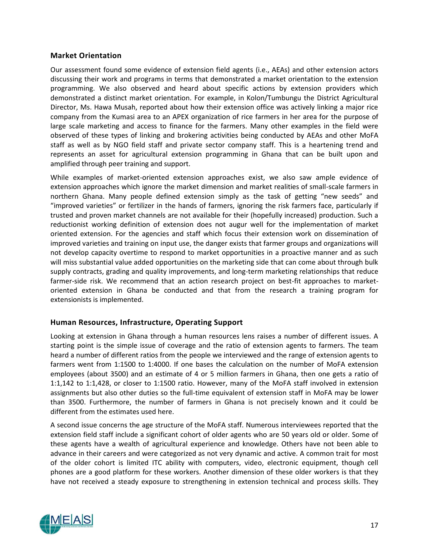## <span id="page-25-0"></span>**Market Orientation**

Our assessment found some evidence of extension field agents (i.e., AEAs) and other extension actors discussing their work and programs in terms that demonstrated a market orientation to the extension programming. We also observed and heard about specific actions by extension providers which demonstrated a distinct market orientation. For example, in Kolon/Tumbungu the District Agricultural Director, Ms. Hawa Musah, reported about how their extension office was actively linking a major rice company from the Kumasi area to an APEX organization of rice farmers in her area for the purpose of large scale marketing and access to finance for the farmers. Many other examples in the field were observed of these types of linking and brokering activities being conducted by AEAs and other MoFA staff as well as by NGO field staff and private sector company staff. This is a heartening trend and represents an asset for agricultural extension programming in Ghana that can be built upon and amplified through peer training and support.

While examples of market-oriented extension approaches exist, we also saw ample evidence of extension approaches which ignore the market dimension and market realities of small-scale farmers in northern Ghana. Many people defined extension simply as the task of getting "new seeds" and "improved varieties" or fertilizer in the hands of farmers, ignoring the risk farmers face, particularly if trusted and proven market channels are not available for their (hopefully increased) production. Such a reductionist working definition of extension does not augur well for the implementation of market oriented extension. For the agencies and staff which focus their extension work on dissemination of improved varieties and training on input use, the danger exists that farmer groups and organizations will not develop capacity overtime to respond to market opportunities in a proactive manner and as such will miss substantial value added opportunities on the marketing side that can come about through bulk supply contracts, grading and quality improvements, and long-term marketing relationships that reduce farmer-side risk. We recommend that an action research project on best-fit approaches to marketoriented extension in Ghana be conducted and that from the research a training program for extensionists is implemented.

## <span id="page-25-1"></span>**Human Resources, Infrastructure, Operating Support**

Looking at extension in Ghana through a human resources lens raises a number of different issues. A starting point is the simple issue of coverage and the ratio of extension agents to farmers. The team heard a number of different ratios from the people we interviewed and the range of extension agents to farmers went from 1:1500 to 1:4000. If one bases the calculation on the number of MoFA extension employees (about 3500) and an estimate of 4 or 5 million farmers in Ghana, then one gets a ratio of 1:1,142 to 1:1,428, or closer to 1:1500 ratio. However, many of the MoFA staff involved in extension assignments but also other duties so the full-time equivalent of extension staff in MoFA may be lower than 3500. Furthermore, the number of farmers in Ghana is not precisely known and it could be different from the estimates used here.

A second issue concerns the age structure of the MoFA staff. Numerous interviewees reported that the extension field staff include a significant cohort of older agents who are 50 years old or older. Some of these agents have a wealth of agricultural experience and knowledge. Others have not been able to advance in their careers and were categorized as not very dynamic and active. A common trait for most of the older cohort is limited ITC ability with computers, video, electronic equipment, though cell phones are a good platform for these workers. Another dimension of these older workers is that they have not received a steady exposure to strengthening in extension technical and process skills. They

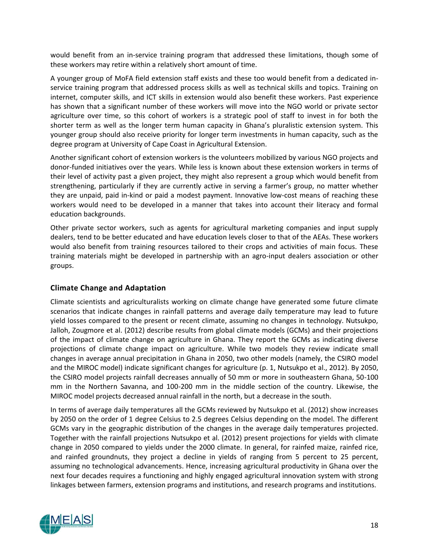would benefit from an in-service training program that addressed these limitations, though some of these workers may retire within a relatively short amount of time.

A younger group of MoFA field extension staff exists and these too would benefit from a dedicated inservice training program that addressed process skills as well as technical skills and topics. Training on internet, computer skills, and ICT skills in extension would also benefit these workers. Past experience has shown that a significant number of these workers will move into the NGO world or private sector agriculture over time, so this cohort of workers is a strategic pool of staff to invest in for both the shorter term as well as the longer term human capacity in Ghana's pluralistic extension system. This younger group should also receive priority for longer term investments in human capacity, such as the degree program at University of Cape Coast in Agricultural Extension.

Another significant cohort of extension workers is the volunteers mobilized by various NGO projects and donor-funded initiatives over the years. While less is known about these extension workers in terms of their level of activity past a given project, they might also represent a group which would benefit from strengthening, particularly if they are currently active in serving a farmer's group, no matter whether they are unpaid, paid in-kind or paid a modest payment. Innovative low-cost means of reaching these workers would need to be developed in a manner that takes into account their literacy and formal education backgrounds.

Other private sector workers, such as agents for agricultural marketing companies and input supply dealers, tend to be better educated and have education levels closer to that of the AEAs. These workers would also benefit from training resources tailored to their crops and activities of main focus. These training materials might be developed in partnership with an agro-input dealers association or other groups.

## <span id="page-26-0"></span>**Climate Change and Adaptation**

Climate scientists and agriculturalists working on climate change have generated some future climate scenarios that indicate changes in rainfall patterns and average daily temperature may lead to future yield losses compared to the present or recent climate, assuming no changes in technology. Nutsukpo, Jalloh, Zougmore et al. (2012) describe results from global climate models (GCMs) and their projections of the impact of climate change on agriculture in Ghana. They report the GCMs as indicating diverse projections of climate change impact on agriculture. While two models they review indicate small changes in average annual precipitation in Ghana in 2050, two other models (namely, the CSIRO model and the MIROC model) indicate significant changes for agriculture (p. 1, Nutsukpo et al., 2012). By 2050, the CSIRO model projects rainfall decreases annually of 50 mm or more in southeastern Ghana, 50-100 mm in the Northern Savanna, and 100-200 mm in the middle section of the country. Likewise, the MIROC model projects decreased annual rainfall in the north, but a decrease in the south.

In terms of average daily temperatures all the GCMs reviewed by Nutsukpo et al. (2012) show increases by 2050 on the order of 1 degree Celsius to 2.5 degrees Celsius depending on the model. The different GCMs vary in the geographic distribution of the changes in the average daily temperatures projected. Together with the rainfall projections Nutsukpo et al. (2012) present projections for yields with climate change in 2050 compared to yields under the 2000 climate. In general, for rainfed maize, rainfed rice, and rainfed groundnuts, they project a decline in yields of ranging from 5 percent to 25 percent, assuming no technological advancements. Hence, increasing agricultural productivity in Ghana over the next four decades requires a functioning and highly engaged agricultural innovation system with strong linkages between farmers, extension programs and institutions, and research programs and institutions.

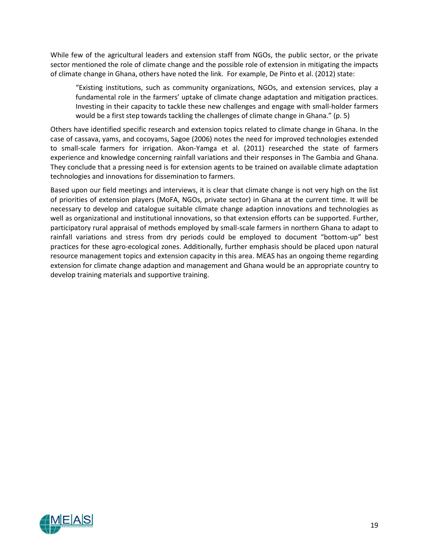While few of the agricultural leaders and extension staff from NGOs, the public sector, or the private sector mentioned the role of climate change and the possible role of extension in mitigating the impacts of climate change in Ghana, others have noted the link. For example, De Pinto et al. (2012) state:

"Existing institutions, such as community organizations, NGOs, and extension services, play a fundamental role in the farmers' uptake of climate change adaptation and mitigation practices. Investing in their capacity to tackle these new challenges and engage with small-holder farmers would be a first step towards tackling the challenges of climate change in Ghana." (p. 5)

Others have identified specific research and extension topics related to climate change in Ghana. In the case of cassava, yams, and cocoyams, Sagoe (2006) notes the need for improved technologies extended to small-scale farmers for irrigation. Akon-Yamga et al. (2011) researched the state of farmers experience and knowledge concerning rainfall variations and their responses in The Gambia and Ghana. They conclude that a pressing need is for extension agents to be trained on available climate adaptation technologies and innovations for dissemination to farmers.

Based upon our field meetings and interviews, it is clear that climate change is not very high on the list of priorities of extension players (MoFA, NGOs, private sector) in Ghana at the current time. It will be necessary to develop and catalogue suitable climate change adaption innovations and technologies as well as organizational and institutional innovations, so that extension efforts can be supported. Further, participatory rural appraisal of methods employed by small-scale farmers in northern Ghana to adapt to rainfall variations and stress from dry periods could be employed to document "bottom-up" best practices for these agro-ecological zones. Additionally, further emphasis should be placed upon natural resource management topics and extension capacity in this area. MEAS has an ongoing theme regarding extension for climate change adaption and management and Ghana would be an appropriate country to develop training materials and supportive training.

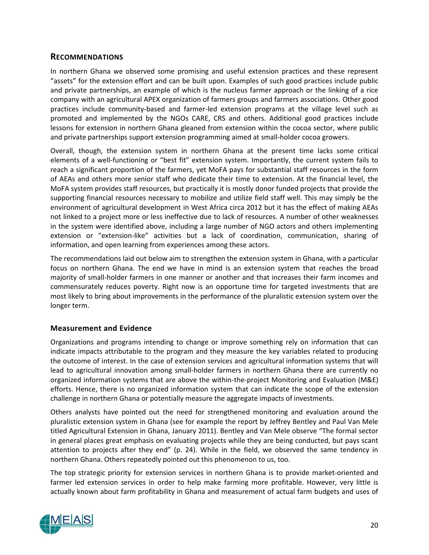## <span id="page-28-0"></span>**RECOMMENDATIONS**

In northern Ghana we observed some promising and useful extension practices and these represent "assets" for the extension effort and can be built upon. Examples of such good practices include public and private partnerships, an example of which is the nucleus farmer approach or the linking of a rice company with an agricultural APEX organization of farmers groups and farmers associations. Other good practices include community-based and farmer-led extension programs at the village level such as promoted and implemented by the NGOs CARE, CRS and others. Additional good practices include lessons for extension in northern Ghana gleaned from extension within the cocoa sector, where public and private partnerships support extension programming aimed at small-holder cocoa growers.

Overall, though, the extension system in northern Ghana at the present time lacks some critical elements of a well-functioning or "best fit" extension system. Importantly, the current system fails to reach a significant proportion of the farmers, yet MoFA pays for substantial staff resources in the form of AEAs and others more senior staff who dedicate their time to extension. At the financial level, the MoFA system provides staff resources, but practically it is mostly donor funded projects that provide the supporting financial resources necessary to mobilize and utilize field staff well. This may simply be the environment of agricultural development in West Africa circa 2012 but it has the effect of making AEAs not linked to a project more or less ineffective due to lack of resources. A number of other weaknesses in the system were identified above, including a large number of NGO actors and others implementing extension or "extension-like" activities but a lack of coordination, communication, sharing of information, and open learning from experiences among these actors.

The recommendations laid out below aim to strengthen the extension system in Ghana, with a particular focus on northern Ghana. The end we have in mind is an extension system that reaches the broad majority of small-holder farmers in one manner or another and that increases their farm incomes and commensurately reduces poverty. Right now is an opportune time for targeted investments that are most likely to bring about improvements in the performance of the pluralistic extension system over the longer term.

## <span id="page-28-1"></span>**Measurement and Evidence**

Organizations and programs intending to change or improve something rely on information that can indicate impacts attributable to the program and they measure the key variables related to producing the outcome of interest. In the case of extension services and agricultural information systems that will lead to agricultural innovation among small-holder farmers in northern Ghana there are currently no organized information systems that are above the within-the-project Monitoring and Evaluation (M&E) efforts. Hence, there is no organized information system that can indicate the scope of the extension challenge in northern Ghana or potentially measure the aggregate impacts of investments.

Others analysts have pointed out the need for strengthened monitoring and evaluation around the pluralistic extension system in Ghana (see for example the report by Jeffrey Bentley and Paul Van Mele titled Agricultural Extension in Ghana, January 2011). Bentley and Van Mele observe "The formal sector in general places great emphasis on evaluating projects while they are being conducted, but pays scant attention to projects after they end" (p. 24). While in the field, we observed the same tendency in northern Ghana. Others repeatedly pointed out this phenomenon to us, too.

The top strategic priority for extension services in northern Ghana is to provide market-oriented and farmer led extension services in order to help make farming more profitable. However, very little is actually known about farm profitability in Ghana and measurement of actual farm budgets and uses of

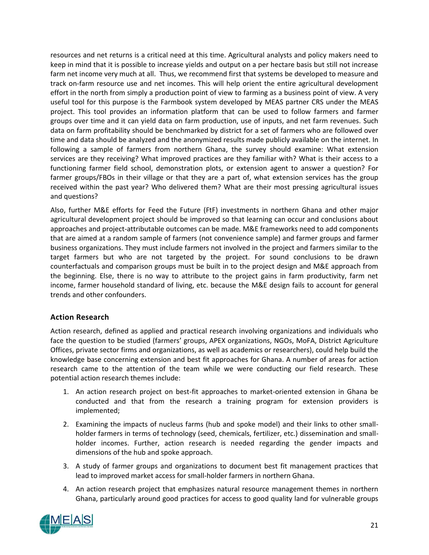resources and net returns is a critical need at this time. Agricultural analysts and policy makers need to keep in mind that it is possible to increase yields and output on a per hectare basis but still not increase farm net income very much at all. Thus, we recommend first that systems be developed to measure and track on-farm resource use and net incomes. This will help orient the entire agricultural development effort in the north from simply a production point of view to farming as a business point of view. A very useful tool for this purpose is the Farmbook system developed by MEAS partner CRS under the MEAS project. This tool provides an information platform that can be used to follow farmers and farmer groups over time and it can yield data on farm production, use of inputs, and net farm revenues. Such data on farm profitability should be benchmarked by district for a set of farmers who are followed over time and data should be analyzed and the anonymized results made publicly available on the internet. In following a sample of farmers from northern Ghana, the survey should examine: What extension services are they receiving? What improved practices are they familiar with? What is their access to a functioning farmer field school, demonstration plots, or extension agent to answer a question? For farmer groups/FBOs in their village or that they are a part of, what extension services has the group received within the past year? Who delivered them? What are their most pressing agricultural issues and questions?

Also, further M&E efforts for Feed the Future (FtF) investments in northern Ghana and other major agricultural development project should be improved so that learning can occur and conclusions about approaches and project-attributable outcomes can be made. M&E frameworks need to add components that are aimed at a random sample of farmers (not convenience sample) and farmer groups and farmer business organizations. They must include farmers not involved in the project and farmers similar to the target farmers but who are not targeted by the project. For sound conclusions to be drawn counterfactuals and comparison groups must be built in to the project design and M&E approach from the beginning. Else, there is no way to attribute to the project gains in farm productivity, farm net income, farmer household standard of living, etc. because the M&E design fails to account for general trends and other confounders.

## <span id="page-29-0"></span>**Action Research**

Action research, defined as applied and practical research involving organizations and individuals who face the question to be studied (farmers' groups, APEX organizations, NGOs, MoFA, District Agriculture Offices, private sector firms and organizations, as well as academics or researchers), could help build the knowledge base concerning extension and best fit approaches for Ghana. A number of areas for action research came to the attention of the team while we were conducting our field research. These potential action research themes include:

- 1. An action research project on best-fit approaches to market-oriented extension in Ghana be conducted and that from the research a training program for extension providers is implemented;
- 2. Examining the impacts of nucleus farms (hub and spoke model) and their links to other smallholder farmers in terms of technology (seed, chemicals, fertilizer, etc.) dissemination and smallholder incomes. Further, action research is needed regarding the gender impacts and dimensions of the hub and spoke approach.
- 3. A study of farmer groups and organizations to document best fit management practices that lead to improved market access for small-holder farmers in northern Ghana.
- 4. An action research project that emphasizes natural resource management themes in northern Ghana, particularly around good practices for access to good quality land for vulnerable groups

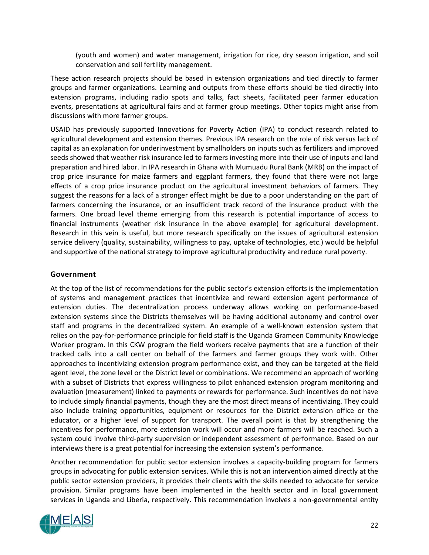(youth and women) and water management, irrigation for rice, dry season irrigation, and soil conservation and soil fertility management.

These action research projects should be based in extension organizations and tied directly to farmer groups and farmer organizations. Learning and outputs from these efforts should be tied directly into extension programs, including radio spots and talks, fact sheets, facilitated peer farmer education events, presentations at agricultural fairs and at farmer group meetings. Other topics might arise from discussions with more farmer groups.

USAID has previously supported Innovations for Poverty Action (IPA) to conduct research related to agricultural development and extension themes. Previous IPA research on the role of risk versus lack of capital as an explanation for underinvestment by smallholders on inputs such as fertilizers and improved seeds showed that weather risk insurance led to farmers investing more into their use of inputs and land preparation and hired labor. In IPA research in Ghana with Mumuadu Rural Bank (MRB) on the impact of crop price insurance for maize farmers and eggplant farmers, they found that there were not large effects of a crop price insurance product on the agricultural investment behaviors of farmers. They suggest the reasons for a lack of a stronger effect might be due to a poor understanding on the part of farmers concerning the insurance, or an insufficient track record of the insurance product with the farmers. One broad level theme emerging from this research is potential importance of access to financial instruments (weather risk insurance in the above example) for agricultural development. Research in this vein is useful, but more research specifically on the issues of agricultural extension service delivery (quality, sustainability, willingness to pay, uptake of technologies, etc.) would be helpful and supportive of the national strategy to improve agricultural productivity and reduce rural poverty.

## <span id="page-30-0"></span>**Government**

At the top of the list of recommendations for the public sector's extension efforts is the implementation of systems and management practices that incentivize and reward extension agent performance of extension duties. The decentralization process underway allows working on performance-based extension systems since the Districts themselves will be having additional autonomy and control over staff and programs in the decentralized system. An example of a well-known extension system that relies on the pay-for-performance principle for field staff is the Uganda Grameen Community Knowledge Worker program. In this CKW program the field workers receive payments that are a function of their tracked calls into a call center on behalf of the farmers and farmer groups they work with. Other approaches to incentivizing extension program performance exist, and they can be targeted at the field agent level, the zone level or the District level or combinations. We recommend an approach of working with a subset of Districts that express willingness to pilot enhanced extension program monitoring and evaluation (measurement) linked to payments or rewards for performance. Such incentives do not have to include simply financial payments, though they are the most direct means of incentivizing. They could also include training opportunities, equipment or resources for the District extension office or the educator, or a higher level of support for transport. The overall point is that by strengthening the incentives for performance, more extension work will occur and more farmers will be reached. Such a system could involve third-party supervision or independent assessment of performance. Based on our interviews there is a great potential for increasing the extension system's performance.

Another recommendation for public sector extension involves a capacity-building program for farmers groups in advocating for public extension services. While this is not an intervention aimed directly at the public sector extension providers, it provides their clients with the skills needed to advocate for service provision. Similar programs have been implemented in the health sector and in local government services in Uganda and Liberia, respectively. This recommendation involves a non-governmental entity

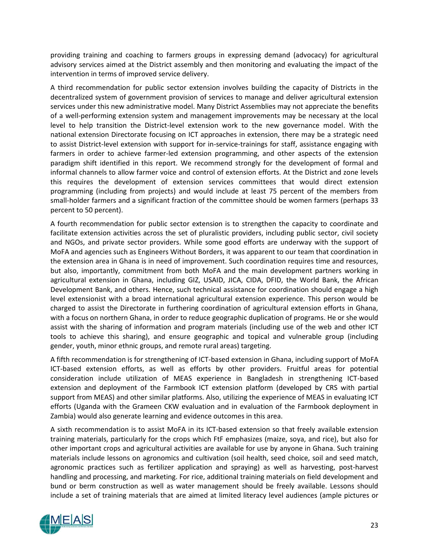providing training and coaching to farmers groups in expressing demand (advocacy) for agricultural advisory services aimed at the District assembly and then monitoring and evaluating the impact of the intervention in terms of improved service delivery.

A third recommendation for public sector extension involves building the capacity of Districts in the decentralized system of government provision of services to manage and deliver agricultural extension services under this new administrative model. Many District Assemblies may not appreciate the benefits of a well-performing extension system and management improvements may be necessary at the local level to help transition the District-level extension work to the new governance model. With the national extension Directorate focusing on ICT approaches in extension, there may be a strategic need to assist District-level extension with support for in-service-trainings for staff, assistance engaging with farmers in order to achieve farmer-led extension programming, and other aspects of the extension paradigm shift identified in this report. We recommend strongly for the development of formal and informal channels to allow farmer voice and control of extension efforts. At the District and zone levels this requires the development of extension services committees that would direct extension programming (including from projects) and would include at least 75 percent of the members from small-holder farmers and a significant fraction of the committee should be women farmers (perhaps 33 percent to 50 percent).

A fourth recommendation for public sector extension is to strengthen the capacity to coordinate and facilitate extension activities across the set of pluralistic providers, including public sector, civil society and NGOs, and private sector providers. While some good efforts are underway with the support of MoFA and agencies such as Engineers Without Borders, it was apparent to our team that coordination in the extension area in Ghana is in need of improvement. Such coordination requires time and resources, but also, importantly, commitment from both MoFA and the main development partners working in agricultural extension in Ghana, including GIZ, USAID, JICA, CIDA, DFID, the World Bank, the African Development Bank, and others. Hence, such technical assistance for coordination should engage a high level extensionist with a broad international agricultural extension experience. This person would be charged to assist the Directorate in furthering coordination of agricultural extension efforts in Ghana, with a focus on northern Ghana, in order to reduce geographic duplication of programs. He or she would assist with the sharing of information and program materials (including use of the web and other ICT tools to achieve this sharing), and ensure geographic and topical and vulnerable group (including gender, youth, minor ethnic groups, and remote rural areas) targeting.

A fifth recommendation is for strengthening of ICT-based extension in Ghana, including support of MoFA ICT-based extension efforts, as well as efforts by other providers. Fruitful areas for potential consideration include utilization of MEAS experience in Bangladesh in strengthening ICT-based extension and deployment of the Farmbook ICT extension platform (developed by CRS with partial support from MEAS) and other similar platforms. Also, utilizing the experience of MEAS in evaluating ICT efforts (Uganda with the Grameen CKW evaluation and in evaluation of the Farmbook deployment in Zambia) would also generate learning and evidence outcomes in this area.

A sixth recommendation is to assist MoFA in its ICT-based extension so that freely available extension training materials, particularly for the crops which FtF emphasizes (maize, soya, and rice), but also for other important crops and agricultural activities are available for use by anyone in Ghana. Such training materials include lessons on agronomics and cultivation (soil health, seed choice, soil and seed match, agronomic practices such as fertilizer application and spraying) as well as harvesting, post-harvest handling and processing, and marketing. For rice, additional training materials on field development and bund or berm construction as well as water management should be freely available. Lessons should include a set of training materials that are aimed at limited literacy level audiences (ample pictures or

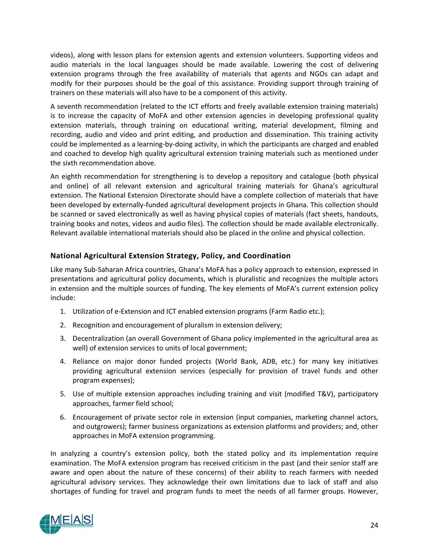videos), along with lesson plans for extension agents and extension volunteers. Supporting videos and audio materials in the local languages should be made available. Lowering the cost of delivering extension programs through the free availability of materials that agents and NGOs can adapt and modify for their purposes should be the goal of this assistance. Providing support through training of trainers on these materials will also have to be a component of this activity.

A seventh recommendation (related to the ICT efforts and freely available extension training materials) is to increase the capacity of MoFA and other extension agencies in developing professional quality extension materials, through training on educational writing, material development, filming and recording, audio and video and print editing, and production and dissemination. This training activity could be implemented as a learning-by-doing activity, in which the participants are charged and enabled and coached to develop high quality agricultural extension training materials such as mentioned under the sixth recommendation above.

An eighth recommendation for strengthening is to develop a repository and catalogue (both physical and online) of all relevant extension and agricultural training materials for Ghana's agricultural extension. The National Extension Directorate should have a complete collection of materials that have been developed by externally-funded agricultural development projects in Ghana. This collection should be scanned or saved electronically as well as having physical copies of materials (fact sheets, handouts, training books and notes, videos and audio files). The collection should be made available electronically. Relevant available international materials should also be placed in the online and physical collection.

## <span id="page-32-0"></span>**National Agricultural Extension Strategy, Policy, and Coordination**

Like many Sub-Saharan Africa countries, Ghana's MoFA has a policy approach to extension, expressed in presentations and agricultural policy documents, which is pluralistic and recognizes the multiple actors in extension and the multiple sources of funding. The key elements of MoFA's current extension policy include:

- 1. Utilization of e-Extension and ICT enabled extension programs (Farm Radio etc.);
- 2. Recognition and encouragement of pluralism in extension delivery;
- 3. Decentralization (an overall Government of Ghana policy implemented in the agricultural area as well) of extension services to units of local government;
- 4. Reliance on major donor funded projects (World Bank, ADB, etc.) for many key initiatives providing agricultural extension services (especially for provision of travel funds and other program expenses);
- 5. Use of multiple extension approaches including training and visit (modified T&V), participatory approaches, farmer field school;
- 6. Encouragement of private sector role in extension (input companies, marketing channel actors, and outgrowers); farmer business organizations as extension platforms and providers; and, other approaches in MoFA extension programming.

In analyzing a country's extension policy, both the stated policy and its implementation require examination. The MoFA extension program has received criticism in the past (and their senior staff are aware and open about the nature of these concerns) of their ability to reach farmers with needed agricultural advisory services. They acknowledge their own limitations due to lack of staff and also shortages of funding for travel and program funds to meet the needs of all farmer groups. However,

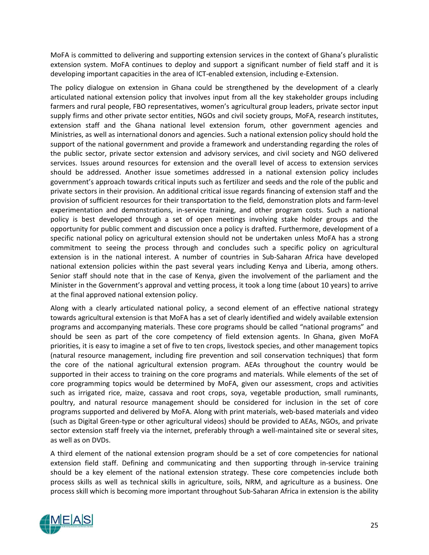MoFA is committed to delivering and supporting extension services in the context of Ghana's pluralistic extension system. MoFA continues to deploy and support a significant number of field staff and it is developing important capacities in the area of ICT-enabled extension, including e-Extension.

The policy dialogue on extension in Ghana could be strengthened by the development of a clearly articulated national extension policy that involves input from all the key stakeholder groups including farmers and rural people, FBO representatives, women's agricultural group leaders, private sector input supply firms and other private sector entities, NGOs and civil society groups, MoFA, research institutes, extension staff and the Ghana national level extension forum, other government agencies and Ministries, as well as international donors and agencies. Such a national extension policy should hold the support of the national government and provide a framework and understanding regarding the roles of the public sector, private sector extension and advisory services, and civil society and NGO delivered services. Issues around resources for extension and the overall level of access to extension services should be addressed. Another issue sometimes addressed in a national extension policy includes government's approach towards critical inputs such as fertilizer and seeds and the role of the public and private sectors in their provision. An additional critical issue regards financing of extension staff and the provision of sufficient resources for their transportation to the field, demonstration plots and farm-level experimentation and demonstrations, in-service training, and other program costs. Such a national policy is best developed through a set of open meetings involving stake holder groups and the opportunity for public comment and discussion once a policy is drafted. Furthermore, development of a specific national policy on agricultural extension should not be undertaken unless MoFA has a strong commitment to seeing the process through and concludes such a specific policy on agricultural extension is in the national interest. A number of countries in Sub-Saharan Africa have developed national extension policies within the past several years including Kenya and Liberia, among others. Senior staff should note that in the case of Kenya, given the involvement of the parliament and the Minister in the Government's approval and vetting process, it took a long time (about 10 years) to arrive at the final approved national extension policy.

Along with a clearly articulated national policy, a second element of an effective national strategy towards agricultural extension is that MoFA has a set of clearly identified and widely available extension programs and accompanying materials. These core programs should be called "national programs" and should be seen as part of the core competency of field extension agents. In Ghana, given MoFA priorities, it is easy to imagine a set of five to ten crops, livestock species, and other management topics (natural resource management, including fire prevention and soil conservation techniques) that form the core of the national agricultural extension program. AEAs throughout the country would be supported in their access to training on the core programs and materials. While elements of the set of core programming topics would be determined by MoFA, given our assessment, crops and activities such as irrigated rice, maize, cassava and root crops, soya, vegetable production, small ruminants, poultry, and natural resource management should be considered for inclusion in the set of core programs supported and delivered by MoFA. Along with print materials, web-based materials and video (such as Digital Green-type or other agricultural videos) should be provided to AEAs, NGOs, and private sector extension staff freely via the internet, preferably through a well-maintained site or several sites, as well as on DVDs.

A third element of the national extension program should be a set of core competencies for national extension field staff. Defining and communicating and then supporting through in-service training should be a key element of the national extension strategy. These core competencies include both process skills as well as technical skills in agriculture, soils, NRM, and agriculture as a business. One process skill which is becoming more important throughout Sub-Saharan Africa in extension is the ability

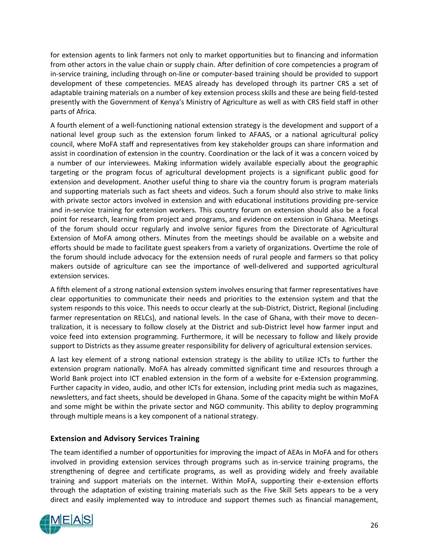for extension agents to link farmers not only to market opportunities but to financing and information from other actors in the value chain or supply chain. After definition of core competencies a program of in-service training, including through on-line or computer-based training should be provided to support development of these competencies. MEAS already has developed through its partner CRS a set of adaptable training materials on a number of key extension process skills and these are being field-tested presently with the Government of Kenya's Ministry of Agriculture as well as with CRS field staff in other parts of Africa.

A fourth element of a well-functioning national extension strategy is the development and support of a national level group such as the extension forum linked to AFAAS, or a national agricultural policy council, where MoFA staff and representatives from key stakeholder groups can share information and assist in coordination of extension in the country. Coordination or the lack of it was a concern voiced by a number of our interviewees. Making information widely available especially about the geographic targeting or the program focus of agricultural development projects is a significant public good for extension and development. Another useful thing to share via the country forum is program materials and supporting materials such as fact sheets and videos. Such a forum should also strive to make links with private sector actors involved in extension and with educational institutions providing pre-service and in-service training for extension workers. This country forum on extension should also be a focal point for research, learning from project and programs, and evidence on extension in Ghana. Meetings of the forum should occur regularly and involve senior figures from the Directorate of Agricultural Extension of MoFA among others. Minutes from the meetings should be available on a website and efforts should be made to facilitate guest speakers from a variety of organizations. Overtime the role of the forum should include advocacy for the extension needs of rural people and farmers so that policy makers outside of agriculture can see the importance of well-delivered and supported agricultural extension services.

A fifth element of a strong national extension system involves ensuring that farmer representatives have clear opportunities to communicate their needs and priorities to the extension system and that the system responds to this voice. This needs to occur clearly at the sub-District, District, Regional (including farmer representation on RELCs), and national levels. In the case of Ghana, with their move to decentralization, it is necessary to follow closely at the District and sub-District level how farmer input and voice feed into extension programming. Furthermore, it will be necessary to follow and likely provide support to Districts as they assume greater responsibility for delivery of agricultural extension services.

A last key element of a strong national extension strategy is the ability to utilize ICTs to further the extension program nationally. MoFA has already committed significant time and resources through a World Bank project into ICT enabled extension in the form of a website for e-Extension programming. Further capacity in video, audio, and other ICTs for extension, including print media such as magazines, newsletters, and fact sheets, should be developed in Ghana. Some of the capacity might be within MoFA and some might be within the private sector and NGO community. This ability to deploy programming through multiple means is a key component of a national strategy.

## <span id="page-34-0"></span>**Extension and Advisory Services Training**

The team identified a number of opportunities for improving the impact of AEAs in MoFA and for others involved in providing extension services through programs such as in-service training programs, the strengthening of degree and certificate programs, as well as providing widely and freely available training and support materials on the internet. Within MoFA, supporting their e-extension efforts through the adaptation of existing training materials such as the Five Skill Sets appears to be a very direct and easily implemented way to introduce and support themes such as financial management,

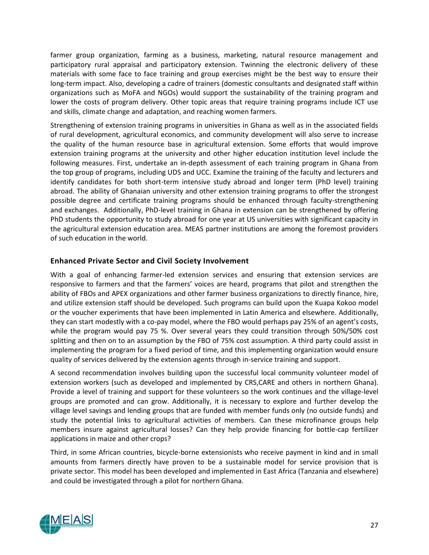farmer group organization, farming as a business, marketing, natural resource management and participatory rural appraisal and participatory extension. Twinning the electronic delivery of these materials with some face to face training and group exercises might be the best way to ensure their long-term impact. Also, developing a cadre of trainers (domestic consultants and designated staff within organizations such as MoFA and NGOs) would support the sustainability of the training program and lower the costs of program delivery. Other topic areas that require training programs include ICT use and skills, climate change and adaptation, and reaching women farmers.

Strengthening of extension training programs in universities in Ghana as well as in the associated fields of rural development, agricultural economics, and community development will also serve to increase the quality of the human resource base in agricultural extension. Some efforts that would improve extension training programs at the university and other higher education institution level include the following measures. First, undertake an in-depth assessment of each training program in Ghana from the top group of programs, including UDS and UCC. Examine the training of the faculty and lecturers and identify candidates for both short-term intensive study abroad and longer term (PhD level) training abroad. The ability of Ghanaian university and other extension training programs to offer the strongest possible degree and certificate training programs should be enhanced through faculty-strengthening and exchanges. Additionally, PhD-level training in Ghana in extension can be strengthened by offering PhD students the opportunity to study abroad for one year at US universities with significant capacity in the agricultural extension education area. MEAS partner institutions are among the foremost providers of such education in the world.

## <span id="page-35-0"></span>**Enhanced Private Sector and Civil Society Involvement**

With a goal of enhancing farmer-led extension services and ensuring that extension services are responsive to farmers and that the farmers' voices are heard, programs that pilot and strengthen the ability of FBOs and APEX organizations and other farmer business organizations to directly finance, hire, and utilize extension staff should be developed. Such programs can build upon the Kuapa Kokoo model or the voucher experiments that have been implemented in Latin America and elsewhere. Additionally, they can start modestly with a co-pay model, where the FBO would perhaps pay 25% of an agent's costs, while the program would pay 75 %. Over several years they could transition through 50%/50% cost splitting and then on to an assumption by the FBO of 75% cost assumption. A third party could assist in implementing the program for a fixed period of time, and this implementing organization would ensure quality of services delivered by the extension agents through in-service training and support.

A second recommendation involves building upon the successful local community volunteer model of extension workers (such as developed and implemented by CRS,CARE and others in northern Ghana). Provide a level of training and support for these volunteers so the work continues and the village-level groups are promoted and can grow. Additionally, it is necessary to explore and further develop the village level savings and lending groups that are funded with member funds only (no outside funds) and study the potential links to agricultural activities of members. Can these microfinance groups help members insure against agricultural losses? Can they help provide financing for bottle-cap fertilizer applications in maize and other crops?

Third, in some African countries, bicycle-borne extensionists who receive payment in kind and in small amounts from farmers directly have proven to be a sustainable model for service provision that is private sector. This model has been developed and implemented in East Africa (Tanzania and elsewhere) and could be investigated through a pilot for northern Ghana.

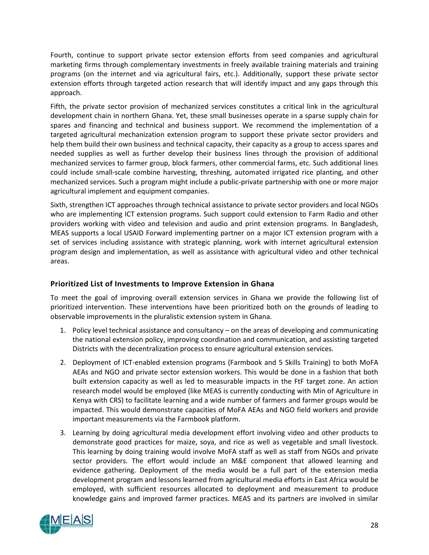Fourth, continue to support private sector extension efforts from seed companies and agricultural marketing firms through complementary investments in freely available training materials and training programs (on the internet and via agricultural fairs, etc.). Additionally, support these private sector extension efforts through targeted action research that will identify impact and any gaps through this approach.

Fifth, the private sector provision of mechanized services constitutes a critical link in the agricultural development chain in northern Ghana. Yet, these small businesses operate in a sparse supply chain for spares and financing and technical and business support. We recommend the implementation of a targeted agricultural mechanization extension program to support these private sector providers and help them build their own business and technical capacity, their capacity as a group to access spares and needed supplies as well as further develop their business lines through the provision of additional mechanized services to farmer group, block farmers, other commercial farms, etc. Such additional lines could include small-scale combine harvesting, threshing, automated irrigated rice planting, and other mechanized services. Such a program might include a public-private partnership with one or more major agricultural implement and equipment companies.

Sixth, strengthen ICT approaches through technical assistance to private sector providers and local NGOs who are implementing ICT extension programs. Such support could extension to Farm Radio and other providers working with video and television and audio and print extension programs. In Bangladesh, MEAS supports a local USAID Forward implementing partner on a major ICT extension program with a set of services including assistance with strategic planning, work with internet agricultural extension program design and implementation, as well as assistance with agricultural video and other technical areas.

## <span id="page-36-0"></span>**Prioritized List of Investments to Improve Extension in Ghana**

To meet the goal of improving overall extension services in Ghana we provide the following list of prioritized intervention. These interventions have been prioritized both on the grounds of leading to observable improvements in the pluralistic extension system in Ghana.

- 1. Policy level technical assistance and consultancy on the areas of developing and communicating the national extension policy, improving coordination and communication, and assisting targeted Districts with the decentralization process to ensure agricultural extension services.
- 2. Deployment of ICT-enabled extension programs (Farmbook and 5 Skills Training) to both MoFA AEAs and NGO and private sector extension workers. This would be done in a fashion that both built extension capacity as well as led to measurable impacts in the FtF target zone. An action research model would be employed (like MEAS is currently conducting with Min of Agriculture in Kenya with CRS) to facilitate learning and a wide number of farmers and farmer groups would be impacted. This would demonstrate capacities of MoFA AEAs and NGO field workers and provide important measurements via the Farmbook platform.
- 3. Learning by doing agricultural media development effort involving video and other products to demonstrate good practices for maize, soya, and rice as well as vegetable and small livestock. This learning by doing training would involve MoFA staff as well as staff from NGOs and private sector providers. The effort would include an M&E component that allowed learning and evidence gathering. Deployment of the media would be a full part of the extension media development program and lessons learned from agricultural media efforts in East Africa would be employed, with sufficient resources allocated to deployment and measurement to produce knowledge gains and improved farmer practices. MEAS and its partners are involved in similar

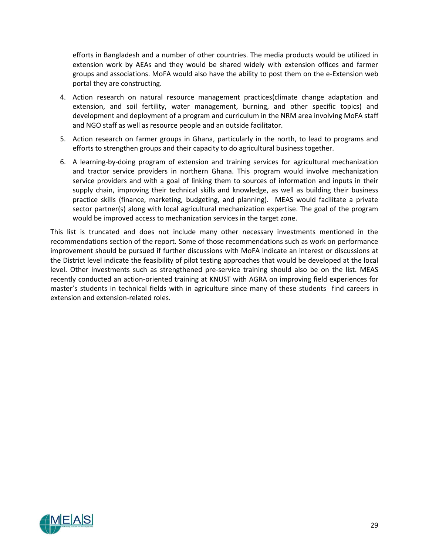efforts in Bangladesh and a number of other countries. The media products would be utilized in extension work by AEAs and they would be shared widely with extension offices and farmer groups and associations. MoFA would also have the ability to post them on the e-Extension web portal they are constructing.

- 4. Action research on natural resource management practices(climate change adaptation and extension, and soil fertility, water management, burning, and other specific topics) and development and deployment of a program and curriculum in the NRM area involving MoFA staff and NGO staff as well as resource people and an outside facilitator.
- 5. Action research on farmer groups in Ghana, particularly in the north, to lead to programs and efforts to strengthen groups and their capacity to do agricultural business together.
- 6. A learning-by-doing program of extension and training services for agricultural mechanization and tractor service providers in northern Ghana. This program would involve mechanization service providers and with a goal of linking them to sources of information and inputs in their supply chain, improving their technical skills and knowledge, as well as building their business practice skills (finance, marketing, budgeting, and planning). MEAS would facilitate a private sector partner(s) along with local agricultural mechanization expertise. The goal of the program would be improved access to mechanization services in the target zone.

This list is truncated and does not include many other necessary investments mentioned in the recommendations section of the report. Some of those recommendations such as work on performance improvement should be pursued if further discussions with MoFA indicate an interest or discussions at the District level indicate the feasibility of pilot testing approaches that would be developed at the local level. Other investments such as strengthened pre-service training should also be on the list. MEAS recently conducted an action-oriented training at KNUST with AGRA on improving field experiences for master's students in technical fields with in agriculture since many of these students find careers in extension and extension-related roles.

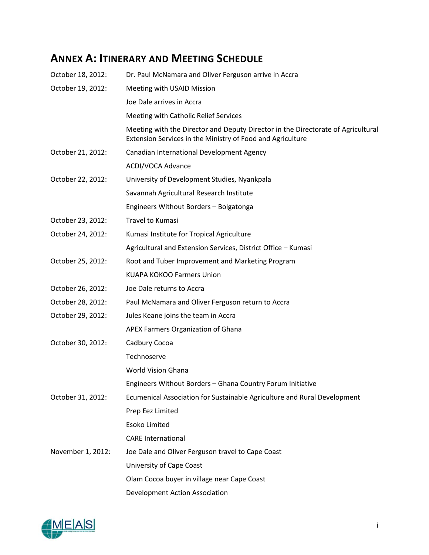## <span id="page-38-0"></span>**ANNEX A: ITINERARY AND MEETING SCHEDULE**

| October 18, 2012: | Dr. Paul McNamara and Oliver Ferguson arrive in Accra                                                                                          |
|-------------------|------------------------------------------------------------------------------------------------------------------------------------------------|
| October 19, 2012: | Meeting with USAID Mission                                                                                                                     |
|                   | Joe Dale arrives in Accra                                                                                                                      |
|                   | Meeting with Catholic Relief Services                                                                                                          |
|                   | Meeting with the Director and Deputy Director in the Directorate of Agricultural<br>Extension Services in the Ministry of Food and Agriculture |
| October 21, 2012: | Canadian International Development Agency                                                                                                      |
|                   | ACDI/VOCA Advance                                                                                                                              |
| October 22, 2012: | University of Development Studies, Nyankpala                                                                                                   |
|                   | Savannah Agricultural Research Institute                                                                                                       |
|                   | Engineers Without Borders - Bolgatonga                                                                                                         |
| October 23, 2012: | Travel to Kumasi                                                                                                                               |
| October 24, 2012: | Kumasi Institute for Tropical Agriculture                                                                                                      |
|                   | Agricultural and Extension Services, District Office - Kumasi                                                                                  |
| October 25, 2012: | Root and Tuber Improvement and Marketing Program                                                                                               |
|                   | <b>KUAPA KOKOO Farmers Union</b>                                                                                                               |
| October 26, 2012: | Joe Dale returns to Accra                                                                                                                      |
| October 28, 2012: | Paul McNamara and Oliver Ferguson return to Accra                                                                                              |
| October 29, 2012: | Jules Keane joins the team in Accra                                                                                                            |
|                   | APEX Farmers Organization of Ghana                                                                                                             |
| October 30, 2012: | Cadbury Cocoa                                                                                                                                  |
|                   | Technoserve                                                                                                                                    |
|                   | <b>World Vision Ghana</b>                                                                                                                      |
|                   | Engineers Without Borders - Ghana Country Forum Initiative                                                                                     |
| October 31, 2012: | Ecumenical Association for Sustainable Agriculture and Rural Development                                                                       |
|                   | Prep Eez Limited                                                                                                                               |
|                   | Esoko Limited                                                                                                                                  |
|                   | <b>CARE</b> International                                                                                                                      |
| November 1, 2012: | Joe Dale and Oliver Ferguson travel to Cape Coast                                                                                              |
|                   | University of Cape Coast                                                                                                                       |
|                   | Olam Cocoa buyer in village near Cape Coast                                                                                                    |
|                   | Development Action Association                                                                                                                 |

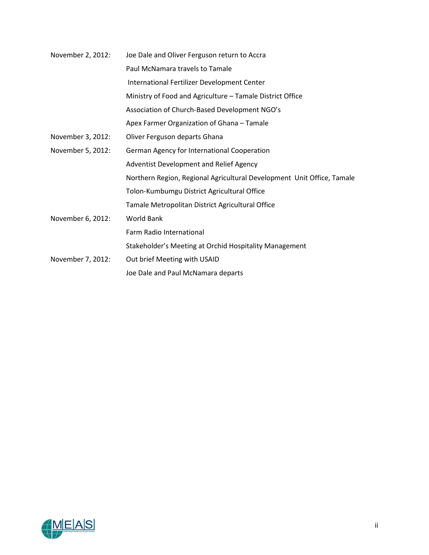| November 2, 2012: | Joe Dale and Oliver Ferguson return to Accra                           |
|-------------------|------------------------------------------------------------------------|
|                   | Paul McNamara travels to Tamale                                        |
|                   | International Fertilizer Development Center                            |
|                   | Ministry of Food and Agriculture - Tamale District Office              |
|                   | Association of Church-Based Development NGO's                          |
|                   | Apex Farmer Organization of Ghana - Tamale                             |
| November 3, 2012: | Oliver Ferguson departs Ghana                                          |
| November 5, 2012: | German Agency for International Cooperation                            |
|                   | Adventist Development and Relief Agency                                |
|                   | Northern Region, Regional Agricultural Development Unit Office, Tamale |
|                   | Tolon-Kumbumgu District Agricultural Office                            |
|                   | Tamale Metropolitan District Agricultural Office                       |
| November 6, 2012: | <b>World Bank</b>                                                      |
|                   | Farm Radio International                                               |
|                   | Stakeholder's Meeting at Orchid Hospitality Management                 |
| November 7, 2012: | Out brief Meeting with USAID                                           |
|                   | Joe Dale and Paul McNamara departs                                     |

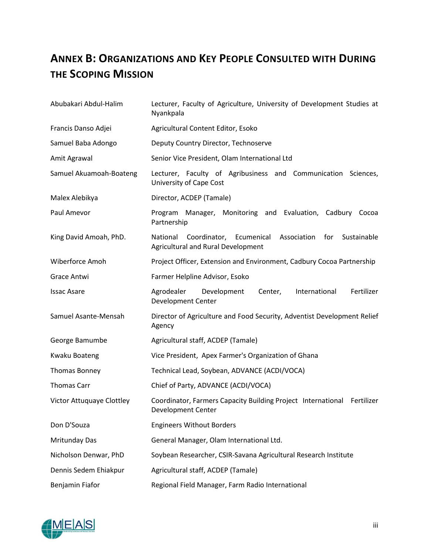## <span id="page-40-0"></span>**ANNEX B: ORGANIZATIONS AND KEY PEOPLE CONSULTED WITH DURING THE SCOPING MISSION**

| Abubakari Abdul-Halim     | Lecturer, Faculty of Agriculture, University of Development Studies at<br>Nyankpala                                      |
|---------------------------|--------------------------------------------------------------------------------------------------------------------------|
| Francis Danso Adjei       | Agricultural Content Editor, Esoko                                                                                       |
| Samuel Baba Adongo        | Deputy Country Director, Technoserve                                                                                     |
| Amit Agrawal              | Senior Vice President, Olam International Ltd                                                                            |
| Samuel Akuamoah-Boateng   | Lecturer, Faculty of Agribusiness and Communication<br>Sciences,<br>University of Cape Cost                              |
| Malex Alebikya            | Director, ACDEP (Tamale)                                                                                                 |
| Paul Amevor               | Manager, Monitoring and Evaluation, Cadbury Cocoa<br>Program<br>Partnership                                              |
| King David Amoah, PhD.    | National<br>Coordinator,<br>Ecumenical<br>Association<br>for<br>Sustainable<br><b>Agricultural and Rural Development</b> |
| Wiberforce Amoh           | Project Officer, Extension and Environment, Cadbury Cocoa Partnership                                                    |
| <b>Grace Antwi</b>        | Farmer Helpline Advisor, Esoko                                                                                           |
| <b>Issac Asare</b>        | Agrodealer<br>Development<br>Center,<br>International<br>Fertilizer<br>Development Center                                |
| Samuel Asante-Mensah      | Director of Agriculture and Food Security, Adventist Development Relief<br>Agency                                        |
| George Bamumbe            | Agricultural staff, ACDEP (Tamale)                                                                                       |
| <b>Kwaku Boateng</b>      | Vice President, Apex Farmer's Organization of Ghana                                                                      |
| Thomas Bonney             | Technical Lead, Soybean, ADVANCE (ACDI/VOCA)                                                                             |
| <b>Thomas Carr</b>        | Chief of Party, ADVANCE (ACDI/VOCA)                                                                                      |
| Victor Attuquaye Clottley | Coordinator, Farmers Capacity Building Project International<br>Fertilizer<br>Development Center                         |
| Don D'Souza               | <b>Engineers Without Borders</b>                                                                                         |
| Mritunday Das             | General Manager, Olam International Ltd.                                                                                 |
| Nicholson Denwar, PhD     | Soybean Researcher, CSIR-Savana Agricultural Research Institute                                                          |
| Dennis Sedem Ehiakpur     | Agricultural staff, ACDEP (Tamale)                                                                                       |
| Benjamin Fiafor           | Regional Field Manager, Farm Radio International                                                                         |

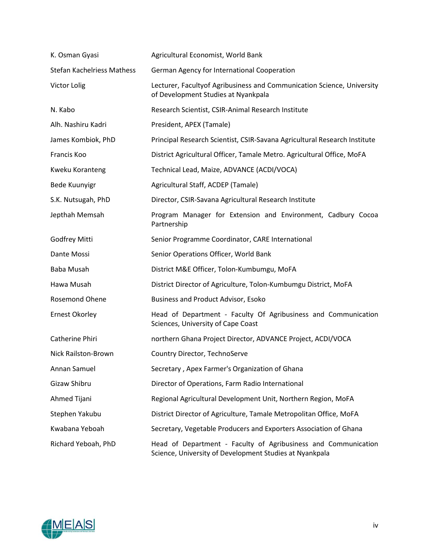| K. Osman Gyasi                    | Agricultural Economist, World Bank                                                                                        |
|-----------------------------------|---------------------------------------------------------------------------------------------------------------------------|
| <b>Stefan Kachelriess Mathess</b> | German Agency for International Cooperation                                                                               |
| Victor Lolig                      | Lecturer, Facultyof Agribusiness and Communication Science, University<br>of Development Studies at Nyankpala             |
| N. Kabo                           | Research Scientist, CSIR-Animal Research Institute                                                                        |
| Alh. Nashiru Kadri                | President, APEX (Tamale)                                                                                                  |
| James Kombiok, PhD                | Principal Research Scientist, CSIR-Savana Agricultural Research Institute                                                 |
| Francis Koo                       | District Agricultural Officer, Tamale Metro. Agricultural Office, MoFA                                                    |
| Kweku Koranteng                   | Technical Lead, Maize, ADVANCE (ACDI/VOCA)                                                                                |
| <b>Bede Kuunyigr</b>              | Agricultural Staff, ACDEP (Tamale)                                                                                        |
| S.K. Nutsugah, PhD                | Director, CSIR-Savana Agricultural Research Institute                                                                     |
| Jepthah Memsah                    | Program Manager for Extension and Environment, Cadbury Cocoa<br>Partnership                                               |
| Godfrey Mitti                     | Senior Programme Coordinator, CARE International                                                                          |
| Dante Mossi                       | Senior Operations Officer, World Bank                                                                                     |
| Baba Musah                        | District M&E Officer, Tolon-Kumbumgu, MoFA                                                                                |
| Hawa Musah                        | District Director of Agriculture, Tolon-Kumbumgu District, MoFA                                                           |
| <b>Rosemond Ohene</b>             | <b>Business and Product Advisor, Esoko</b>                                                                                |
| <b>Ernest Okorley</b>             | Head of Department - Faculty Of Agribusiness and Communication<br>Sciences, University of Cape Coast                      |
| Catherine Phiri                   | northern Ghana Project Director, ADVANCE Project, ACDI/VOCA                                                               |
| <b>Nick Railston-Brown</b>        | Country Director, TechnoServe                                                                                             |
| Annan Samuel                      | Secretary, Apex Farmer's Organization of Ghana                                                                            |
| Gizaw Shibru                      | Director of Operations, Farm Radio International                                                                          |
| Ahmed Tijani                      | Regional Agricultural Development Unit, Northern Region, MoFA                                                             |
| Stephen Yakubu                    | District Director of Agriculture, Tamale Metropolitan Office, MoFA                                                        |
| Kwabana Yeboah                    | Secretary, Vegetable Producers and Exporters Association of Ghana                                                         |
| Richard Yeboah, PhD               | Head of Department - Faculty of Agribusiness and Communication<br>Science, University of Development Studies at Nyankpala |

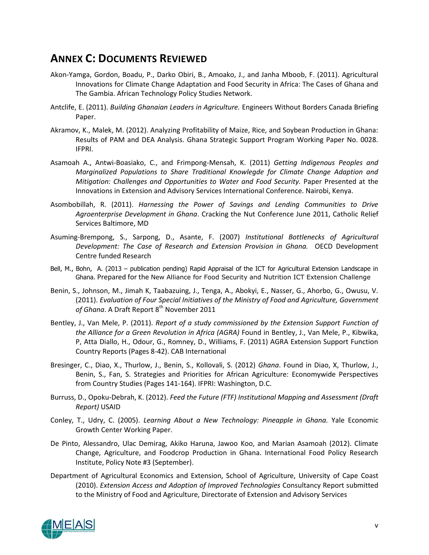## <span id="page-42-0"></span>**ANNEX C: DOCUMENTS REVIEWED**

- Akon-Yamga, Gordon, Boadu, P., Darko Obiri, B., Amoako, J., and Janha Mboob, F. (2011). Agricultural Innovations for Climate Change Adaptation and Food Security in Africa: The Cases of Ghana and The Gambia. African Technology Policy Studies Network.
- Antclife, E. (2011). *Building Ghanaian Leaders in Agriculture.* Engineers Without Borders Canada Briefing Paper.
- Akramov, K., Malek, M. (2012). Analyzing Profitability of Maize, Rice, and Soybean Production in Ghana: Results of PAM and DEA Analysis. Ghana Strategic Support Program Working Paper No. 0028. IFPRI.
- Asamoah A., Antwi-Boasiako, C., and Frimpong-Mensah, K. (2011) *Getting Indigenous Peoples and Marginalized Populations to Share Traditional Knowlegde for Climate Change Adaption and Mitigation: Challenges and Opportunities to Water and Food Security.* Paper Presented at the Innovations in Extension and Advisory Services International Conference. Nairobi, Kenya.
- Asombobillah, R. (2011). *Harnessing the Power of Savings and Lending Communities to Drive Agroenterprise Development in Ghana*. Cracking the Nut Conference June 2011, Catholic Relief Services Baltimore, MD
- Asuming-Brempong, S., Sarpong, D., Asante, F. (2007) *Institutional Bottlenecks of Agricultural Development: The Case of Research and Extension Provision in Ghana.* OECD Development Centre funded Research
- Bell, M., Bohn, A. (2013 publication pending) Rapid Appraisal of the ICT for Agricultural Extension Landscape in Ghana. Prepared for the [New Alliance for Food Security and Nutrition ICT Extension Challenge](http://agrilinks.org/library/final-report-expert-consultation-g8-new-alliance-food-security-and-nutrition-ict-extension)
- Benin, S., Johnson, M., Jimah K, Taabazuing, J., Tenga, A., Abokyi, E., Nasser, G., Ahorbo, G., Owusu, V. (2011). *Evaluation of Four Special Initiatives of the Ministry of Food and Agriculture, Government*  of Ghana. A Draft Report 8<sup>th</sup> November 2011
- Bentley, J., Van Mele, P. (2011). *Report of a study commissioned by the Extension Support Function of the Alliance for a Green Revolution in Africa (AGRA)* Found in Bentley, J., Van Mele, P., Kibwika, P, Atta Diallo, H., Odour, G., Romney, D., Williams, F. (2011) AGRA Extension Support Function Country Reports (Pages 8-42). CAB International
- Bresinger, C., Diao, X., Thurlow, J., Benin, S., Kollovali, S. (2012) *Ghana*. Found in Diao, X, Thurlow, J., Benin, S., Fan, S. Strategies and Priorities for African Agriculture: Economywide Perspectives from Country Studies (Pages 141-164). IFPRI: Washington, D.C.
- Burruss, D., Opoku-Debrah, K. (2012). *Feed the Future (FTF) Institutional Mapping and Assessment (Draft Report)* USAID
- Conley, T., Udry, C. (2005). *Learning About a New Technology: Pineapple in Ghana.* Yale Economic Growth Center Working Paper.
- De Pinto, Alessandro, Ulac Demirag, Akiko Haruna, Jawoo Koo, and Marian Asamoah (2012). Climate Change, Agriculture, and Foodcrop Production in Ghana. International Food Policy Research Institute, Policy Note #3 (September).
- Department of Agricultural Economics and Extension, School of Agriculture, University of Cape Coast (2010). *Extension Access and Adoption of Improved Technologies* Consultancy Report submitted to the Ministry of Food and Agriculture, Directorate of Extension and Advisory Services

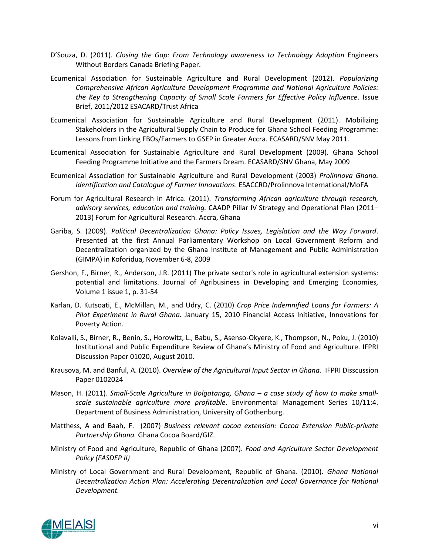- D'Souza, D. (2011). *Closing the Gap: From Technology awareness to Technology Adoption* Engineers Without Borders Canada Briefing Paper.
- Ecumenical Association for Sustainable Agriculture and Rural Development (2012). *Popularizing Comprehensive African Agriculture Development Programme and National Agriculture Policies: the Key to Strengthening Capacity of Small Scale Farmers for Effective Policy Influence*. Issue Brief, 2011/2012 ESACARD/Trust Africa
- Ecumenical Association for Sustainable Agriculture and Rural Development (2011). Mobilizing Stakeholders in the Agricultural Supply Chain to Produce for Ghana School Feeding Programme: Lessons from Linking FBOs/Farmers to GSEP in Greater Accra. ECASARD/SNV May 2011.
- Ecumenical Association for Sustainable Agriculture and Rural Development (2009). Ghana School Feeding Programme Initiative and the Farmers Dream. ECASARD/SNV Ghana, May 2009
- Ecumenical Association for Sustainable Agriculture and Rural Development (2003) *Prolinnova Ghana. Identification and Catalogue of Farmer Innovations*. ESACCRD/Prolinnova International/MoFA
- Forum for Agricultural Research in Africa. (2011). *Transforming African agriculture through research, advisory services, education and training.* CAADP Pillar IV Strategy and Operational Plan (2011– 2013) Forum for Agricultural Research. Accra, Ghana
- Gariba, S. (2009). *Political Decentralization Ghana: Policy Issues, Legislation and the Way Forward*. Presented at the first Annual Parliamentary Workshop on Local Government Reform and Decentralization organized by the Ghana Institute of Management and Public Administration (GIMPA) in Koforidua, November 6-8, 2009
- Gershon, F., Birner, R., Anderson, J.R. (2011) The private sector's role in agricultural extension systems: potential and limitations. Journal of Agribusiness in Developing and Emerging Economies, Volume 1 issue 1, p. 31-54
- Karlan, D. Kutsoati, E., McMillan, M., and Udry, C. (2010) *Crop Price Indemnified Loans for Farmers: A Pilot Experiment in Rural Ghana.* January 15, 2010 Financial Access Initiative, Innovations for Poverty Action.
- Kolavalli, S., Birner, R., Benin, S., Horowitz, L., Babu, S., Asenso-Okyere, K., Thompson, N., Poku, J. (2010) Institutional and Public Expenditure Review of Ghana's Ministry of Food and Agriculture. IFPRI Discussion Paper 01020, August 2010.
- Krausova, M. and Banful, A. (2010). *Overview of the Agricultural Input Sector in Ghana*. IFPRI Disscussion Paper 0102024
- Mason, H. (2011). *Small-Scale Agriculture in Bolgatanga, Ghana – a case study of how to make smallscale sustainable agriculture more profitable*. Environmental Management Series 10/11:4. Department of Business Administration, University of Gothenburg.
- Matthess, A and Baah, F. (2007) *Business relevant cocoa extension: Cocoa Extension Public-private Partnership Ghana.* Ghana Cocoa Board/GIZ.
- Ministry of Food and Agriculture, Republic of Ghana (2007). *Food and Agriculture Sector Development Policy (FASDEP II)*
- Ministry of Local Government and Rural Development, Republic of Ghana. (2010). *Ghana National Decentralization Action Plan: Accelerating Decentralization and Local Governance for National Development.*

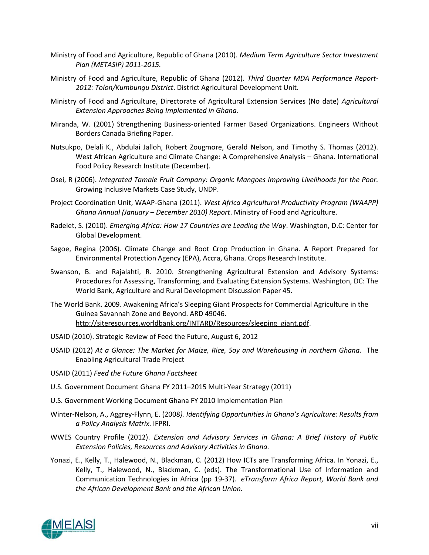- Ministry of Food and Agriculture, Republic of Ghana (2010). *Medium Term Agriculture Sector Investment Plan (METASIP) 2011-2015.*
- Ministry of Food and Agriculture, Republic of Ghana (2012). *Third Quarter MDA Performance Report-2012: Tolon/Kumbungu District*. District Agricultural Development Unit.
- Ministry of Food and Agriculture, Directorate of Agricultural Extension Services (No date) *Agricultural Extension Approaches Being Implemented in Ghana.*
- Miranda, W. (2001) Strengthening Business-oriented Farmer Based Organizations. Engineers Without Borders Canada Briefing Paper.
- Nutsukpo, Delali K., Abdulai Jalloh, Robert Zougmore, Gerald Nelson, and Timothy S. Thomas (2012). West African Agriculture and Climate Change: A Comprehensive Analysis – Ghana. International Food Policy Research Institute (December).
- Osei, R (2006). *Integrated Tamale Fruit Company: Organic Mangoes Improving Livelihoods for the Poor.*  Growing Inclusive Markets Case Study, UNDP.
- Project Coordination Unit, WAAP-Ghana (2011). *West Africa Agricultural Productivity Program (WAAPP) Ghana Annual (January – December 2010) Report*. Ministry of Food and Agriculture.
- Radelet, S. (2010). *Emerging Africa: How 17 Countries are Leading the Way*. Washington, D.C: Center for Global Development.
- Sagoe, Regina (2006). Climate Change and Root Crop Production in Ghana. A Report Prepared for Environmental Protection Agency (EPA), Accra, Ghana. Crops Research Institute.
- Swanson, B. and Rajalahti, R. 2010. Strengthening Agricultural Extension and Advisory Systems: Procedures for Assessing, Transforming, and Evaluating Extension Systems. Washington, DC: The World Bank, Agriculture and Rural Development Discussion Paper 45.
- The World Bank. 2009. Awakening Africa's Sleeping Giant Prospects for Commercial Agriculture in the Guinea Savannah Zone and Beyond. ARD 49046. [http://siteresources.worldbank.org/INTARD/Resources/sleeping\\_giant.pdf.](http://siteresources.worldbank.org/INTARD/Resources/sleeping_giant.pdf)
- USAID (2010). Strategic Review of Feed the Future, August 6, 2012
- USAID (2012) *At a Glance: The Market for Maize, Rice, Soy and Warehousing in northern Ghana.* The Enabling Agricultural Trade Project
- USAID (2011) *Feed the Future Ghana Factsheet*
- U.S. Government Document Ghana FY 2011–2015 Multi-Year Strategy (2011)
- U.S. Government Working Document Ghana FY 2010 Implementation Plan
- Winter-Nelson, A., Aggrey-Flynn, E. (2008*). Identifying Opportunities in Ghana's Agriculture: Results from a Policy Analysis Matrix*. IFPRI.
- WWES Country Profile (2012). *Extension and Advisory Services in Ghana: A Brief History of Public Extension Policies, Resources and Advisory Activities in Ghana.*
- Yonazi, E., Kelly, T., Halewood, N., Blackman, C. (2012) How ICTs are Transforming Africa. In Yonazi, E., Kelly, T., Halewood, N., Blackman, C. (eds). The Transformational Use of Information and Communication Technologies in Africa (pp 19-37). *eTransform Africa Report, World Bank and the African Development Bank and the African Union.*

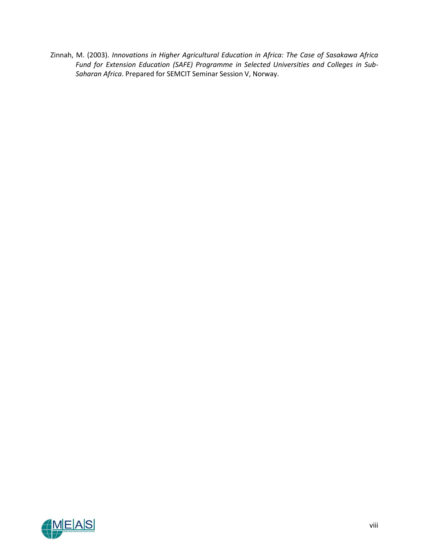Zinnah, M. (2003). *Innovations in Higher Agricultural Education in Africa: The Case of Sasakawa Africa Fund for Extension Education (SAFE) Programme in Selected Universities and Colleges in Sub-Saharan Africa*. Prepared for SEMCIT Seminar Session V, Norway.

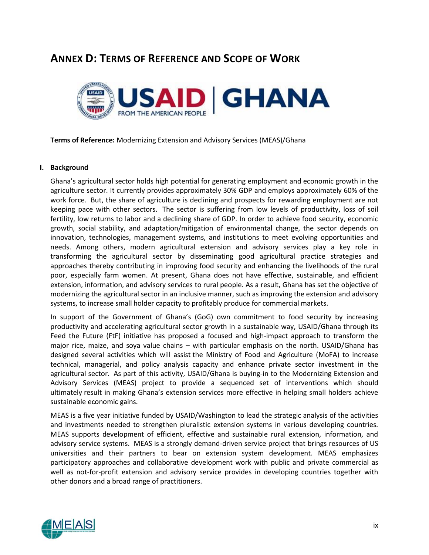## <span id="page-46-0"></span>**ANNEX D: TERMS OF REFERENCE AND SCOPE OF WORK**



**Terms of Reference:** Modernizing Extension and Advisory Services (MEAS)/Ghana

#### **I. Background**

Ghana's agricultural sector holds high potential for generating employment and economic growth in the agriculture sector. It currently provides approximately 30% GDP and employs approximately 60% of the work force. But, the share of agriculture is declining and prospects for rewarding employment are not keeping pace with other sectors. The sector is suffering from low levels of productivity, loss of soil fertility, low returns to labor and a declining share of GDP. In order to achieve food security, economic growth, social stability, and adaptation/mitigation of environmental change, the sector depends on innovation, technologies, management systems, and institutions to meet evolving opportunities and needs. Among others, modern agricultural extension and advisory services play a key role in transforming the agricultural sector by disseminating good agricultural practice strategies and approaches thereby contributing in improving food security and enhancing the livelihoods of the rural poor, especially farm women. At present, Ghana does not have effective, sustainable, and efficient extension, information, and advisory services to rural people. As a result, Ghana has set the objective of modernizing the agricultural sector in an inclusive manner, such as improving the extension and advisory systems, to increase small holder capacity to profitably produce for commercial markets.

In support of the Government of Ghana's (GoG) own commitment to food security by increasing productivity and accelerating agricultural sector growth in a sustainable way, USAID/Ghana through its Feed the Future (FtF) initiative has proposed a focused and high-impact approach to transform the major rice, maize, and soya value chains – with particular emphasis on the north. USAID/Ghana has designed several activities which will assist the Ministry of Food and Agriculture (MoFA) to increase technical, managerial, and policy analysis capacity and enhance private sector investment in the agricultural sector. As part of this activity, USAID/Ghana is buying-in to the Modernizing Extension and Advisory Services (MEAS) project to provide a sequenced set of interventions which should ultimately result in making Ghana's extension services more effective in helping small holders achieve sustainable economic gains.

MEAS is a five year initiative funded by USAID/Washington to lead the strategic analysis of the activities and investments needed to strengthen pluralistic extension systems in various developing countries. MEAS supports development of efficient, effective and sustainable rural extension, information, and advisory service systems. MEAS is a strongly demand‐driven service project that brings resources of US universities and their partners to bear on extension system development. MEAS emphasizes participatory approaches and collaborative development work with public and private commercial as well as not-for-profit extension and advisory service provides in developing countries together with other donors and a broad range of practitioners.

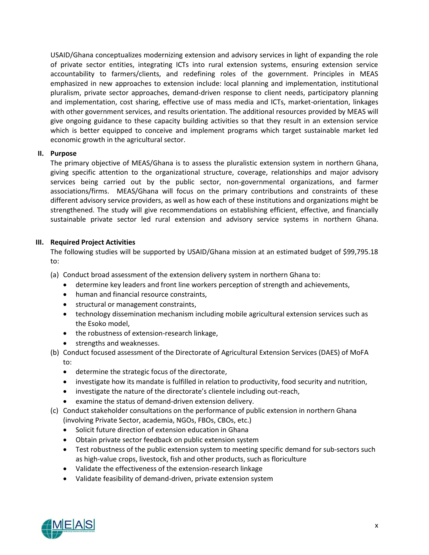USAID/Ghana conceptualizes modernizing extension and advisory services in light of expanding the role of private sector entities, integrating ICTs into rural extension systems, ensuring extension service accountability to farmers/clients, and redefining roles of the government. Principles in MEAS emphasized in new approaches to extension include: local planning and implementation, institutional pluralism, private sector approaches, demand‐driven response to client needs, participatory planning and implementation, cost sharing, effective use of mass media and ICTs, market-orientation, linkages with other government services, and results orientation. The additional resources provided by MEAS will give ongoing guidance to these capacity building activities so that they result in an extension service which is better equipped to conceive and implement programs which target sustainable market led economic growth in the agricultural sector.

## **II. Purpose**

The primary objective of MEAS/Ghana is to assess the pluralistic extension system in northern Ghana, giving specific attention to the organizational structure, coverage, relationships and major advisory services being carried out by the public sector, non-governmental organizations, and farmer associations/firms. MEAS/Ghana will focus on the primary contributions and constraints of these different advisory service providers, as well as how each of these institutions and organizations might be strengthened. The study will give recommendations on establishing efficient, effective, and financially sustainable private sector led rural extension and advisory service systems in northern Ghana.

## **III. Required Project Activities**

The following studies will be supported by USAID/Ghana mission at an estimated budget of \$99,795.18 to:

- (a) Conduct broad assessment of the extension delivery system in northern Ghana to:
	- determine key leaders and front line workers perception of strength and achievements,
	- human and financial resource constraints,
	- **•** structural or management constraints,
	- technology dissemination mechanism including mobile agricultural extension services such as the Esoko model,
	- the robustness of extension-research linkage,
	- strengths and weaknesses.
- (b) Conduct focused assessment of the Directorate of Agricultural Extension Services (DAES) of MoFA to:
	- determine the strategic focus of the directorate,
	- investigate how its mandate is fulfilled in relation to productivity, food security and nutrition,
	- investigate the nature of the directorate's clientele including out-reach,
	- examine the status of demand-driven extension delivery.
- (c) Conduct stakeholder consultations on the performance of public extension in northern Ghana (involving Private Sector, academia, NGOs, FBOs, CBOs, etc.)
	- Solicit future direction of extension education in Ghana
	- Obtain private sector feedback on public extension system
	- Test robustness of the public extension system to meeting specific demand for sub-sectors such as high-value crops, livestock, fish and other products, such as floriculture
	- Validate the effectiveness of the extension-research linkage
	- Validate feasibility of demand-driven, private extension system